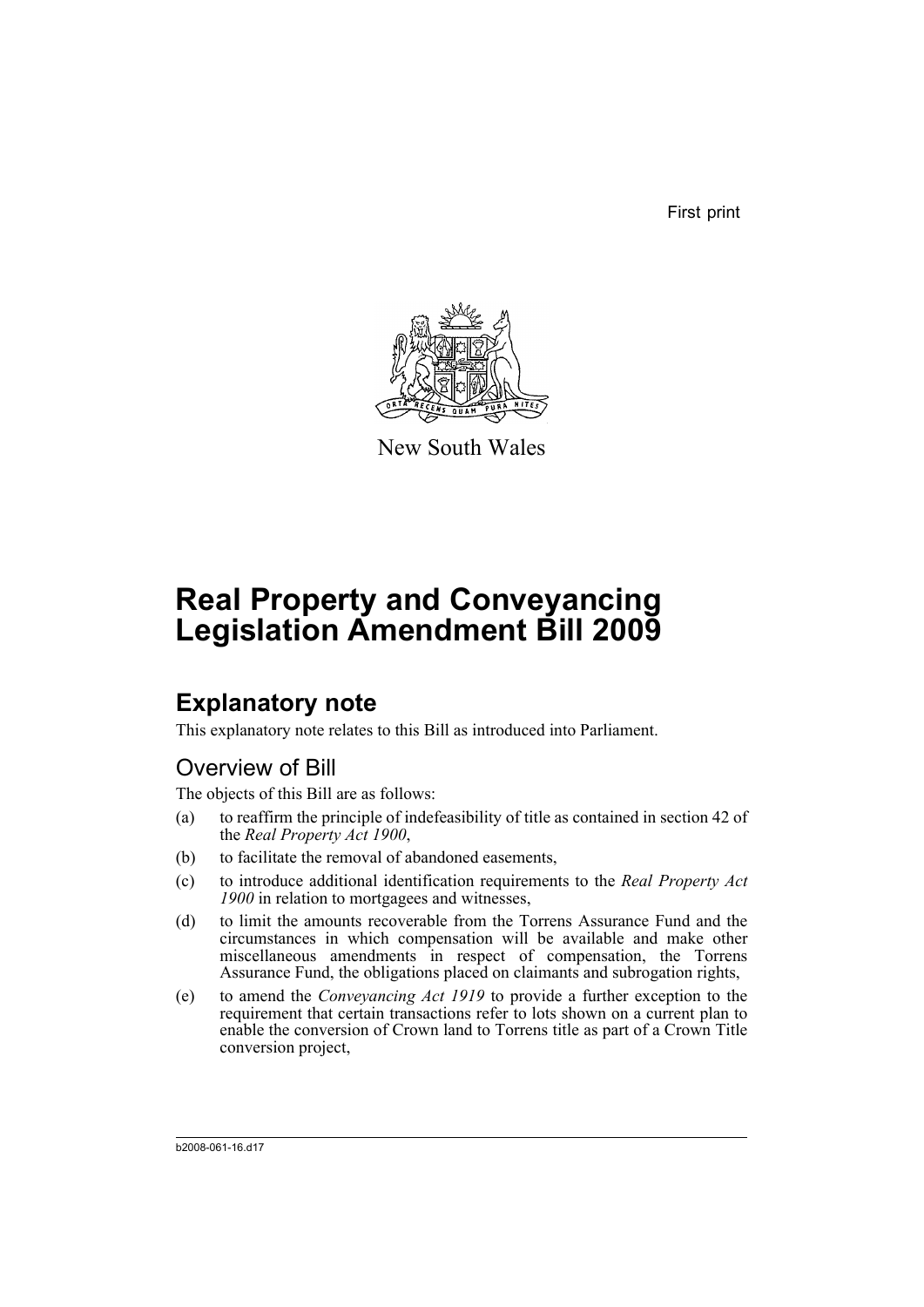First print



New South Wales

# **Real Property and Conveyancing Legislation Amendment Bill 2009**

# **Explanatory note**

This explanatory note relates to this Bill as introduced into Parliament.

## Overview of Bill

The objects of this Bill are as follows:

- (a) to reaffirm the principle of indefeasibility of title as contained in section 42 of the *Real Property Act 1900*,
- (b) to facilitate the removal of abandoned easements,
- (c) to introduce additional identification requirements to the *Real Property Act 1900* in relation to mortgagees and witnesses,
- (d) to limit the amounts recoverable from the Torrens Assurance Fund and the circumstances in which compensation will be available and make other miscellaneous amendments in respect of compensation, the Torrens Assurance Fund, the obligations placed on claimants and subrogation rights,
- (e) to amend the *Conveyancing Act 1919* to provide a further exception to the requirement that certain transactions refer to lots shown on a current plan to enable the conversion of Crown land to Torrens title as part of a Crown Title conversion project,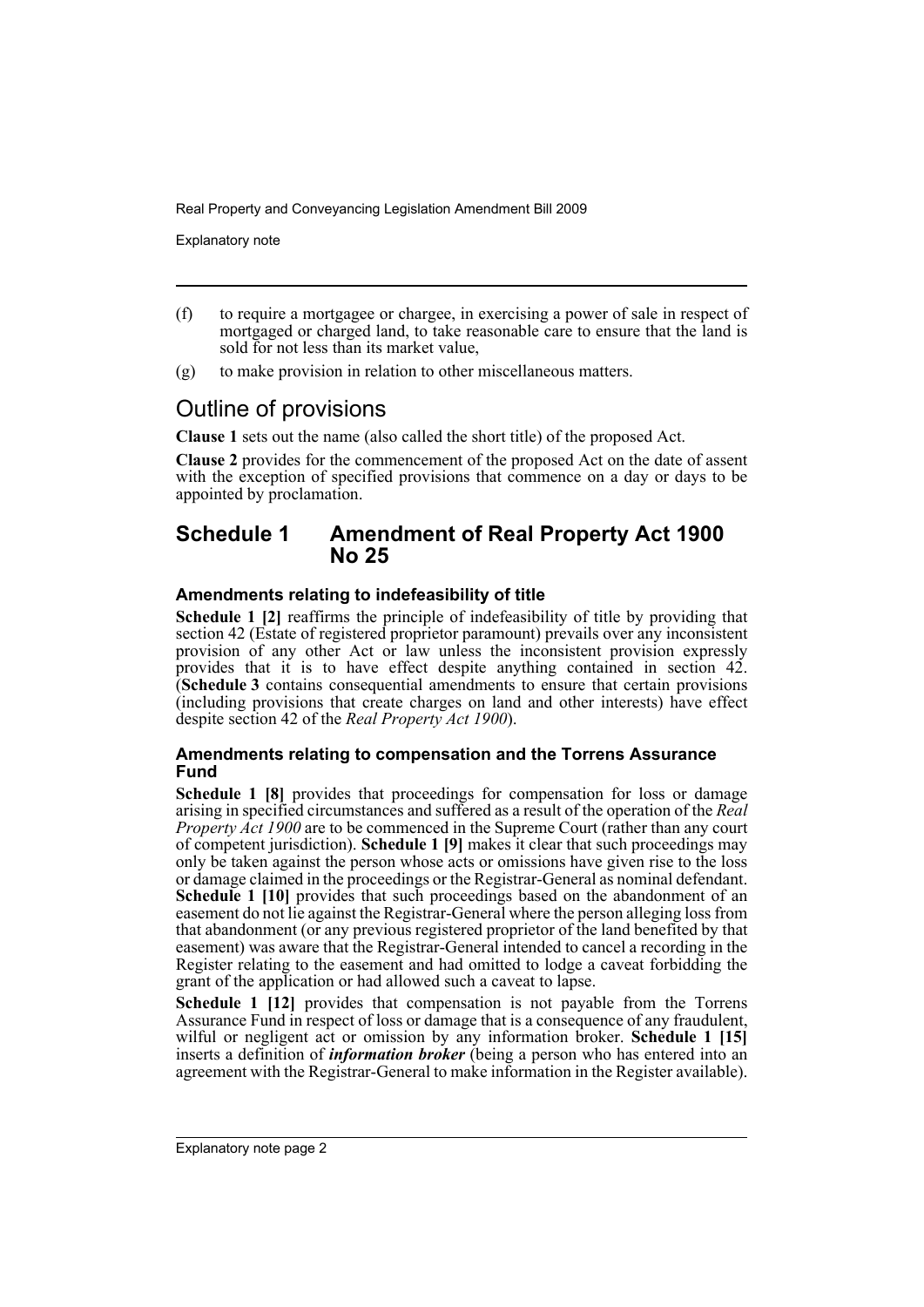Explanatory note

- (f) to require a mortgagee or chargee, in exercising a power of sale in respect of mortgaged or charged land, to take reasonable care to ensure that the land is sold for not less than its market value,
- (g) to make provision in relation to other miscellaneous matters.

## Outline of provisions

**Clause 1** sets out the name (also called the short title) of the proposed Act.

**Clause 2** provides for the commencement of the proposed Act on the date of assent with the exception of specified provisions that commence on a day or days to be appointed by proclamation.

## **Schedule 1 Amendment of Real Property Act 1900 No 25**

### **Amendments relating to indefeasibility of title**

**Schedule 1 [2]** reaffirms the principle of indefeasibility of title by providing that section 42 (Estate of registered proprietor paramount) prevails over any inconsistent provision of any other Act or law unless the inconsistent provision expressly provides that it is to have effect despite anything contained in section 42. (**Schedule 3** contains consequential amendments to ensure that certain provisions (including provisions that create charges on land and other interests) have effect despite section 42 of the *Real Property Act 1900*).

### **Amendments relating to compensation and the Torrens Assurance Fund**

**Schedule 1 [8]** provides that proceedings for compensation for loss or damage arising in specified circumstances and suffered as a result of the operation of the *Real Property Act 1900* are to be commenced in the Supreme Court (rather than any court of competent jurisdiction). **Schedule 1 [9]** makes it clear that such proceedings may only be taken against the person whose acts or omissions have given rise to the loss or damage claimed in the proceedings or the Registrar-General as nominal defendant. **Schedule 1 [10]** provides that such proceedings based on the abandonment of an easement do not lie against the Registrar-General where the person alleging loss from that abandonment (or any previous registered proprietor of the land benefited by that easement) was aware that the Registrar-General intended to cancel a recording in the Register relating to the easement and had omitted to lodge a caveat forbidding the grant of the application or had allowed such a caveat to lapse.

**Schedule 1 [12]** provides that compensation is not payable from the Torrens Assurance Fund in respect of loss or damage that is a consequence of any fraudulent, wilful or negligent act or omission by any information broker. **Schedule 1 [15]** inserts a definition of *information broker* (being a person who has entered into an agreement with the Registrar-General to make information in the Register available).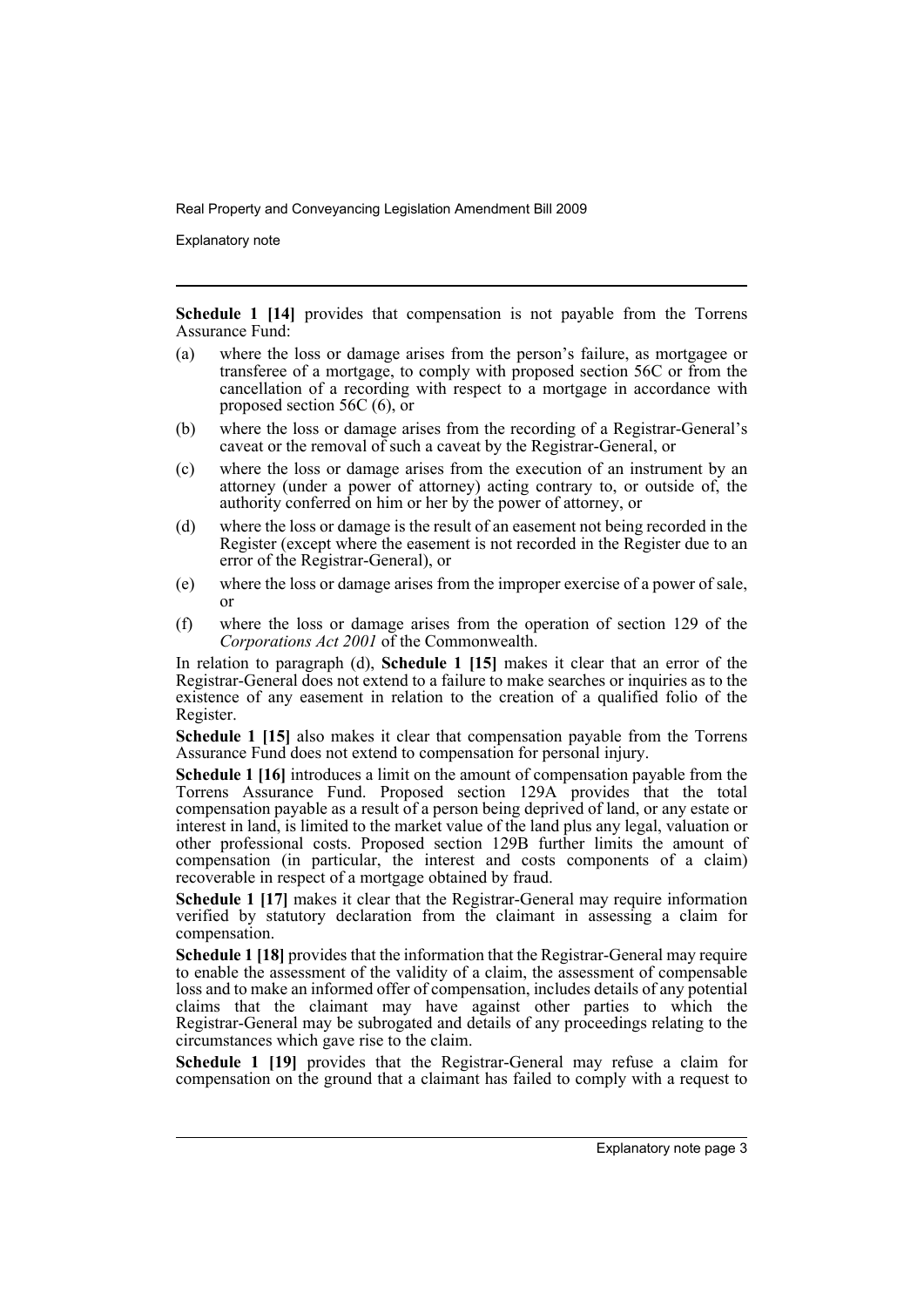Explanatory note

**Schedule 1 [14]** provides that compensation is not payable from the Torrens Assurance Fund:

- (a) where the loss or damage arises from the person's failure, as mortgagee or transferee of a mortgage, to comply with proposed section 56C or from the cancellation of a recording with respect to a mortgage in accordance with proposed section 56C (6), or
- (b) where the loss or damage arises from the recording of a Registrar-General's caveat or the removal of such a caveat by the Registrar-General, or
- (c) where the loss or damage arises from the execution of an instrument by an attorney (under a power of attorney) acting contrary to, or outside of, the authority conferred on him or her by the power of attorney, or
- (d) where the loss or damage is the result of an easement not being recorded in the Register (except where the easement is not recorded in the Register due to an error of the Registrar-General), or
- (e) where the loss or damage arises from the improper exercise of a power of sale, or
- (f) where the loss or damage arises from the operation of section 129 of the *Corporations Act 2001* of the Commonwealth.

In relation to paragraph (d), **Schedule 1 [15]** makes it clear that an error of the Registrar-General does not extend to a failure to make searches or inquiries as to the existence of any easement in relation to the creation of a qualified folio of the Register.

**Schedule 1 [15]** also makes it clear that compensation payable from the Torrens Assurance Fund does not extend to compensation for personal injury.

**Schedule 1 [16]** introduces a limit on the amount of compensation payable from the Torrens Assurance Fund. Proposed section 129A provides that the total compensation payable as a result of a person being deprived of land, or any estate or interest in land, is limited to the market value of the land plus any legal, valuation or other professional costs. Proposed section 129B further limits the amount of compensation (in particular, the interest and costs components of a claim) recoverable in respect of a mortgage obtained by fraud.

**Schedule 1 [17]** makes it clear that the Registrar-General may require information verified by statutory declaration from the claimant in assessing a claim for compensation.

**Schedule 1 [18]** provides that the information that the Registrar-General may require to enable the assessment of the validity of a claim, the assessment of compensable loss and to make an informed offer of compensation, includes details of any potential claims that the claimant may have against other parties to which the Registrar-General may be subrogated and details of any proceedings relating to the circumstances which gave rise to the claim.

**Schedule 1 [19]** provides that the Registrar-General may refuse a claim for compensation on the ground that a claimant has failed to comply with a request to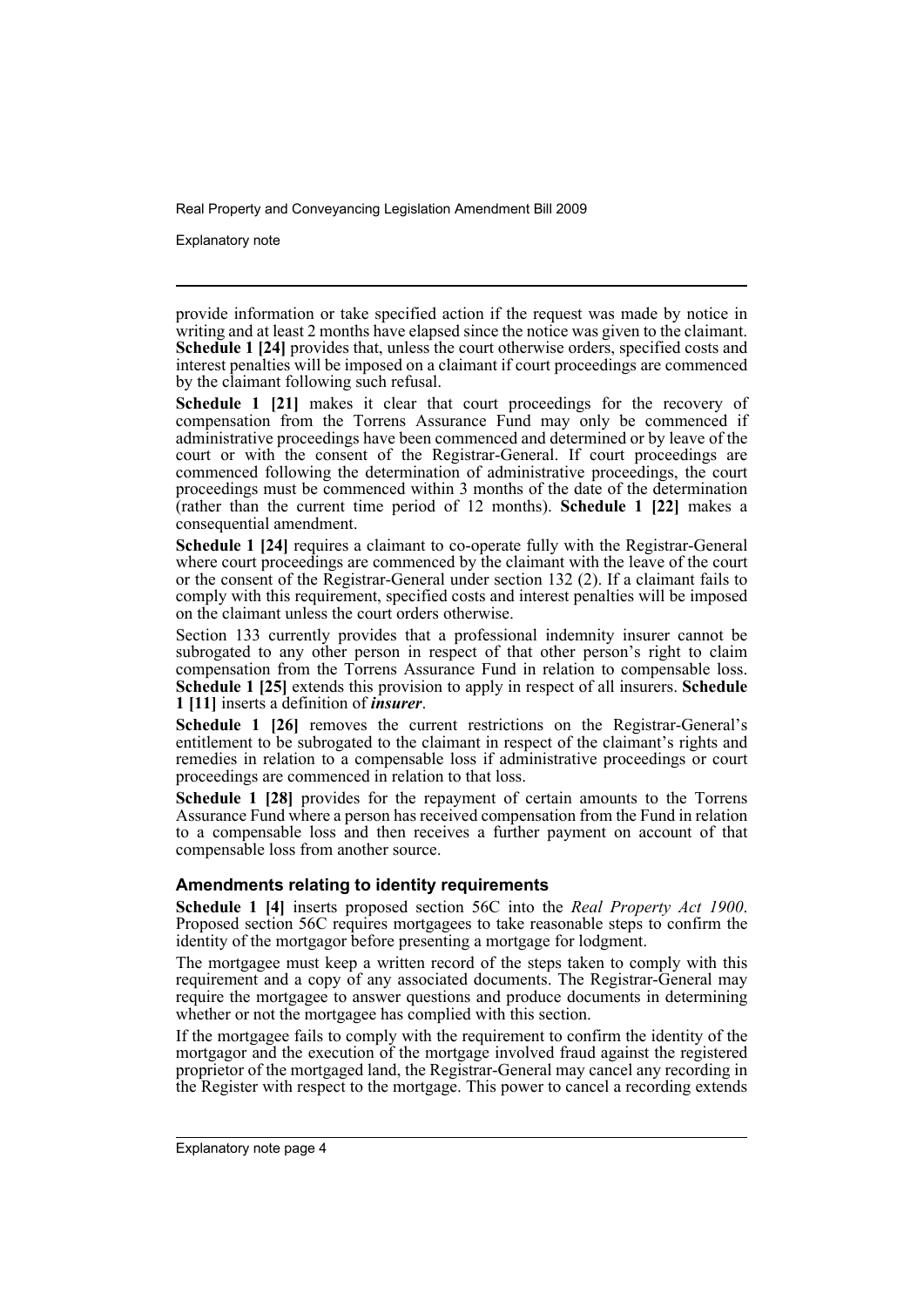Explanatory note

provide information or take specified action if the request was made by notice in writing and at least 2 months have elapsed since the notice was given to the claimant. **Schedule 1 [24]** provides that, unless the court otherwise orders, specified costs and interest penalties will be imposed on a claimant if court proceedings are commenced by the claimant following such refusal.

**Schedule 1 [21]** makes it clear that court proceedings for the recovery of compensation from the Torrens Assurance Fund may only be commenced if administrative proceedings have been commenced and determined or by leave of the court or with the consent of the Registrar-General. If court proceedings are commenced following the determination of administrative proceedings, the court proceedings must be commenced within 3 months of the date of the determination (rather than the current time period of 12 months). **Schedule 1 [22]** makes a consequential amendment.

**Schedule 1 [24]** requires a claimant to co-operate fully with the Registrar-General where court proceedings are commenced by the claimant with the leave of the court or the consent of the Registrar-General under section 132 (2). If a claimant fails to comply with this requirement, specified costs and interest penalties will be imposed on the claimant unless the court orders otherwise.

Section 133 currently provides that a professional indemnity insurer cannot be subrogated to any other person in respect of that other person's right to claim compensation from the Torrens Assurance Fund in relation to compensable loss. **Schedule 1 [25]** extends this provision to apply in respect of all insurers. **Schedule 1 [11]** inserts a definition of *insurer*.

**Schedule 1 [26]** removes the current restrictions on the Registrar-General's entitlement to be subrogated to the claimant in respect of the claimant's rights and remedies in relation to a compensable loss if administrative proceedings or court proceedings are commenced in relation to that loss.

**Schedule 1 [28]** provides for the repayment of certain amounts to the Torrens Assurance Fund where a person has received compensation from the Fund in relation to a compensable loss and then receives a further payment on account of that compensable loss from another source.

### **Amendments relating to identity requirements**

**Schedule 1 [4]** inserts proposed section 56C into the *Real Property Act 1900*. Proposed section 56C requires mortgagees to take reasonable steps to confirm the identity of the mortgagor before presenting a mortgage for lodgment.

The mortgagee must keep a written record of the steps taken to comply with this requirement and a copy of any associated documents. The Registrar-General may require the mortgagee to answer questions and produce documents in determining whether or not the mortgagee has complied with this section.

If the mortgagee fails to comply with the requirement to confirm the identity of the mortgagor and the execution of the mortgage involved fraud against the registered proprietor of the mortgaged land, the Registrar-General may cancel any recording in the Register with respect to the mortgage. This power to cancel a recording extends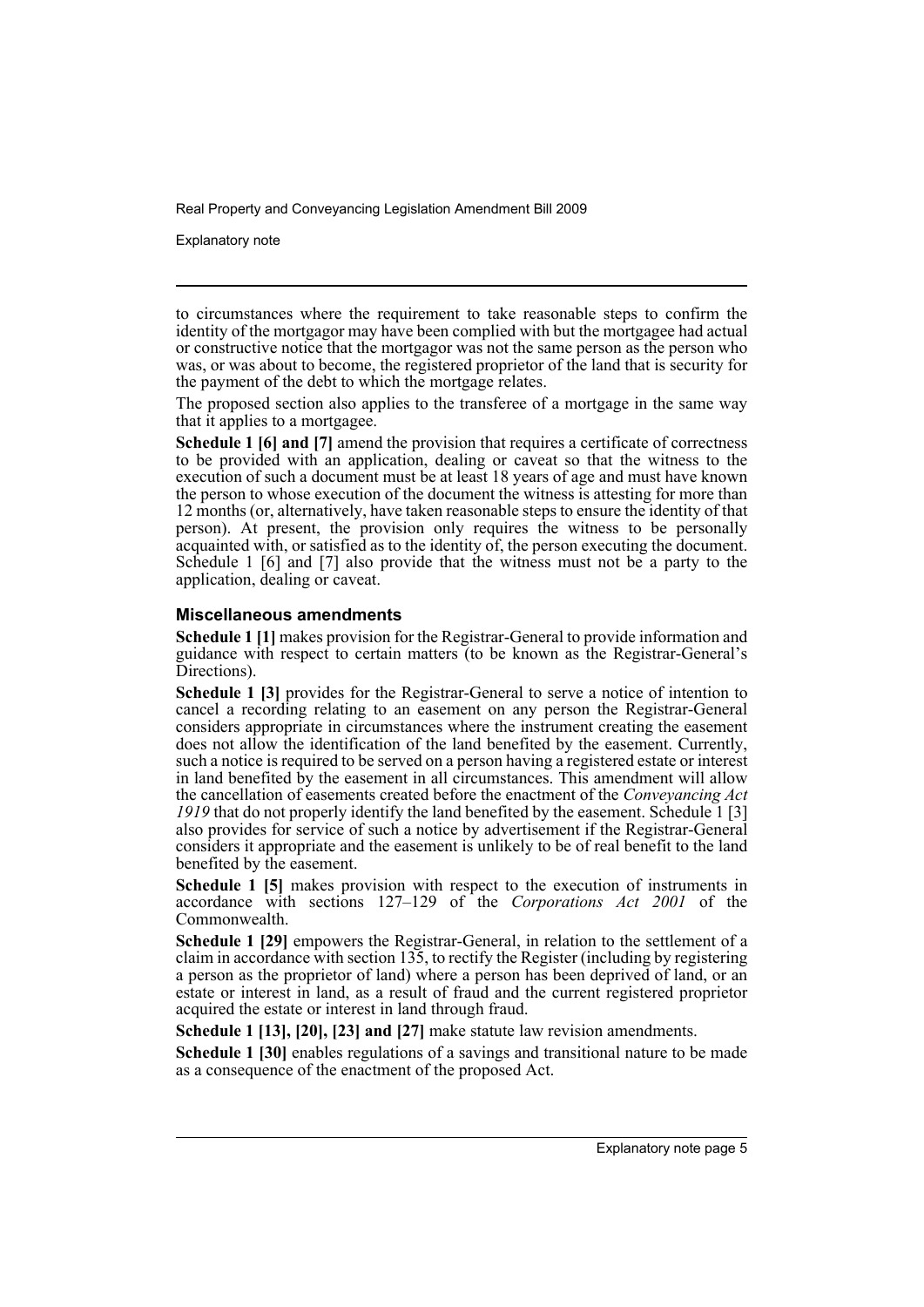Explanatory note

to circumstances where the requirement to take reasonable steps to confirm the identity of the mortgagor may have been complied with but the mortgagee had actual or constructive notice that the mortgagor was not the same person as the person who was, or was about to become, the registered proprietor of the land that is security for the payment of the debt to which the mortgage relates.

The proposed section also applies to the transferee of a mortgage in the same way that it applies to a mortgagee.

**Schedule 1 [6] and [7]** amend the provision that requires a certificate of correctness to be provided with an application, dealing or caveat so that the witness to the execution of such a document must be at least 18 years of age and must have known the person to whose execution of the document the witness is attesting for more than 12 months (or, alternatively, have taken reasonable steps to ensure the identity of that person). At present, the provision only requires the witness to be personally acquainted with, or satisfied as to the identity of, the person executing the document. Schedule 1 [6] and [7] also provide that the witness must not be a party to the application, dealing or caveat.

### **Miscellaneous amendments**

**Schedule 1 [1]** makes provision for the Registrar-General to provide information and guidance with respect to certain matters (to be known as the Registrar-General's Directions).

**Schedule 1 [3]** provides for the Registrar-General to serve a notice of intention to cancel a recording relating to an easement on any person the Registrar-General considers appropriate in circumstances where the instrument creating the easement does not allow the identification of the land benefited by the easement. Currently, such a notice is required to be served on a person having a registered estate or interest in land benefited by the easement in all circumstances. This amendment will allow the cancellation of easements created before the enactment of the *Conveyancing Act 1919* that do not properly identify the land benefited by the easement. Schedule 1 [3] also provides for service of such a notice by advertisement if the Registrar-General considers it appropriate and the easement is unlikely to be of real benefit to the land benefited by the easement.

**Schedule 1 [5]** makes provision with respect to the execution of instruments in accordance with sections 127–129 of the *Corporations Act 2001* of the Commonwealth.

**Schedule 1 [29]** empowers the Registrar-General, in relation to the settlement of a claim in accordance with section 135, to rectify the Register (including by registering a person as the proprietor of land) where a person has been deprived of land, or an estate or interest in land, as a result of fraud and the current registered proprietor acquired the estate or interest in land through fraud.

**Schedule 1 [13], [20], [23] and [27]** make statute law revision amendments.

**Schedule 1 [30]** enables regulations of a savings and transitional nature to be made as a consequence of the enactment of the proposed Act.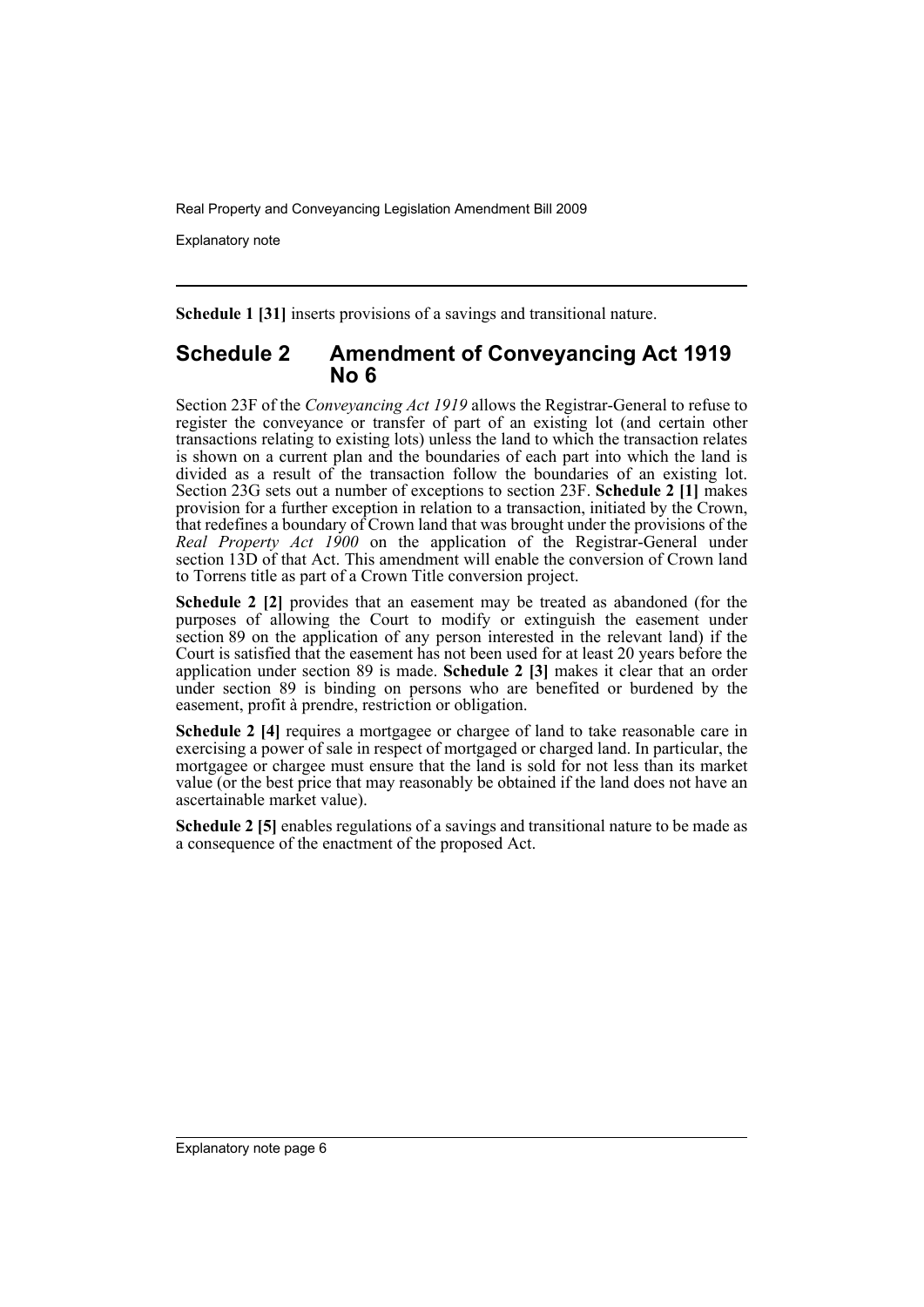Explanatory note

**Schedule 1 [31]** inserts provisions of a savings and transitional nature.

## **Schedule 2 Amendment of Conveyancing Act 1919 No 6**

Section 23F of the *Conveyancing Act 1919* allows the Registrar-General to refuse to register the conveyance or transfer of part of an existing lot (and certain other transactions relating to existing lots) unless the land to which the transaction relates is shown on a current plan and the boundaries of each part into which the land is divided as a result of the transaction follow the boundaries of an existing lot. Section 23G sets out a number of exceptions to section 23F. **Schedule 2 [1]** makes provision for a further exception in relation to a transaction, initiated by the Crown, that redefines a boundary of Crown land that was brought under the provisions of the *Real Property Act 1900* on the application of the Registrar-General under section 13D of that Act. This amendment will enable the conversion of Crown land to Torrens title as part of a Crown Title conversion project.

**Schedule 2 [2]** provides that an easement may be treated as abandoned (for the purposes of allowing the Court to modify or extinguish the easement under section 89 on the application of any person interested in the relevant land) if the Court is satisfied that the easement has not been used for at least 20 years before the application under section 89 is made. **Schedule 2 [3]** makes it clear that an order under section 89 is binding on persons who are benefited or burdened by the easement, profit à prendre, restriction or obligation.

**Schedule 2 [4]** requires a mortgagee or chargee of land to take reasonable care in exercising a power of sale in respect of mortgaged or charged land. In particular, the mortgagee or chargee must ensure that the land is sold for not less than its market value (or the best price that may reasonably be obtained if the land does not have an ascertainable market value).

**Schedule 2 [5]** enables regulations of a savings and transitional nature to be made as a consequence of the enactment of the proposed Act.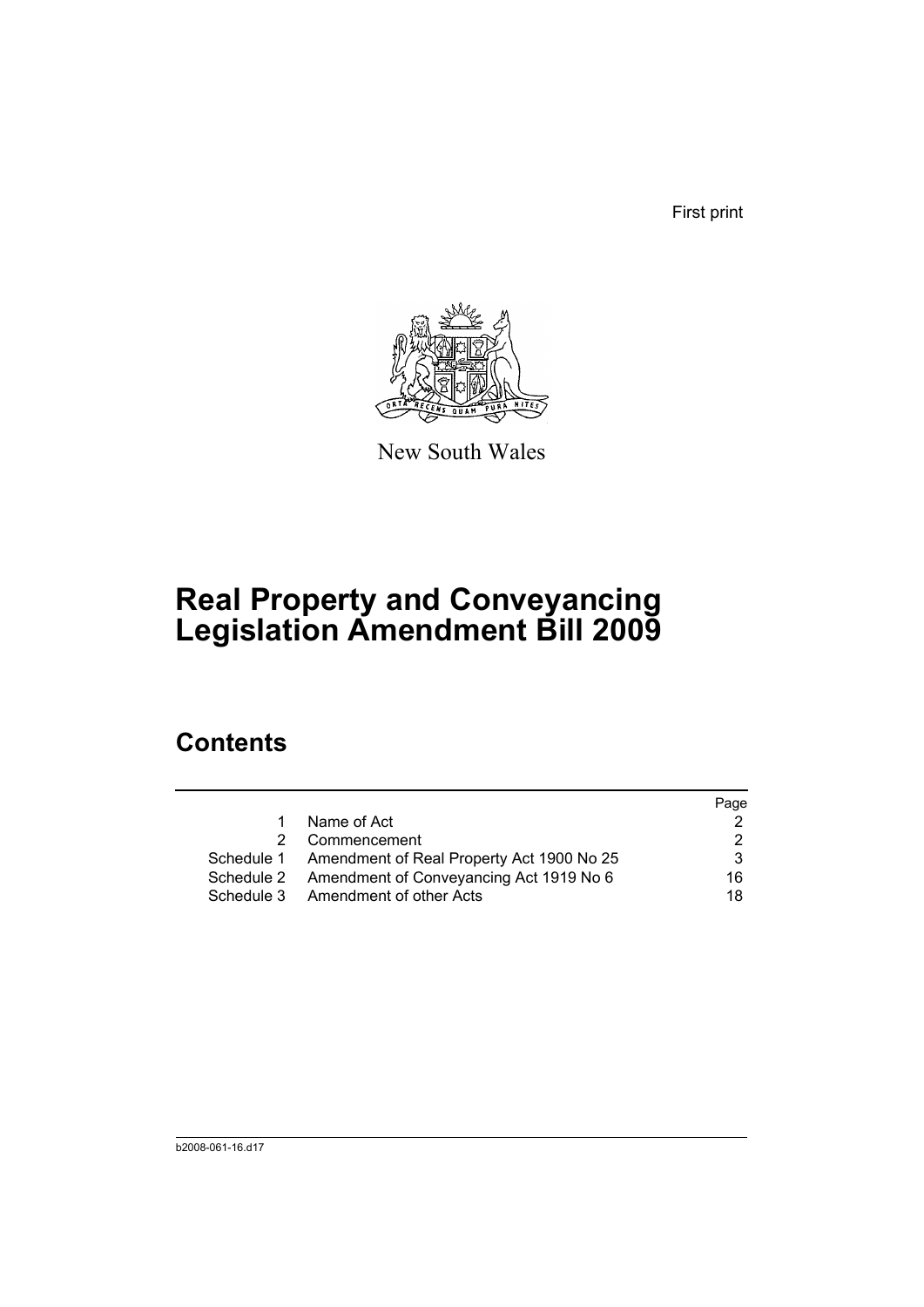First print



New South Wales

# **Real Property and Conveyancing Legislation Amendment Bill 2009**

# **Contents**

|    |                                                      | Page |
|----|------------------------------------------------------|------|
| 1. | Name of Act                                          |      |
| 2  | Commencement                                         |      |
|    | Schedule 1 Amendment of Real Property Act 1900 No 25 |      |
|    | Schedule 2 Amendment of Conveyancing Act 1919 No 6   | 16   |
|    | Schedule 3 Amendment of other Acts                   | 18   |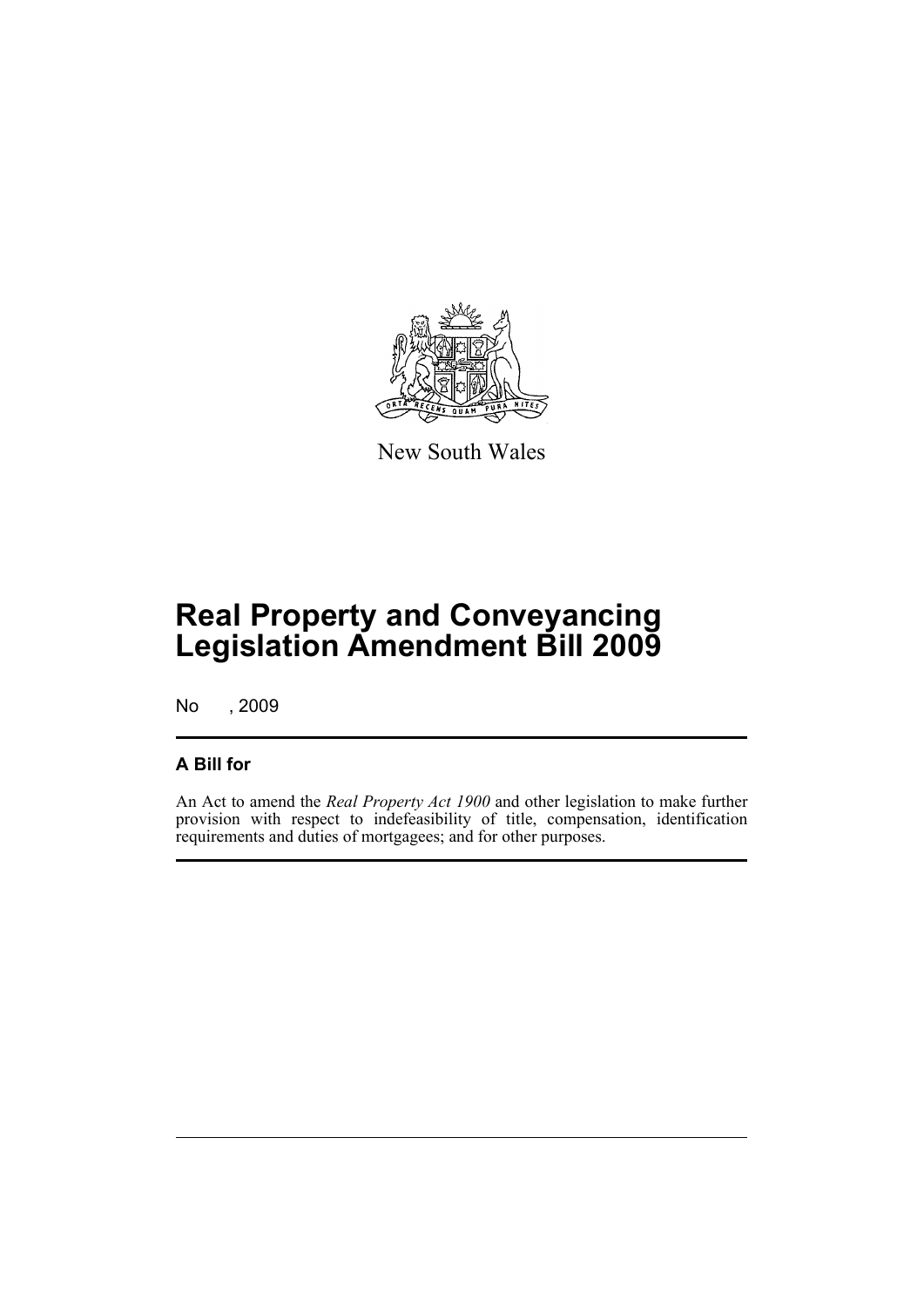

New South Wales

# **Real Property and Conveyancing Legislation Amendment Bill 2009**

No , 2009

## **A Bill for**

An Act to amend the *Real Property Act 1900* and other legislation to make further provision with respect to indefeasibility of title, compensation, identification requirements and duties of mortgagees; and for other purposes.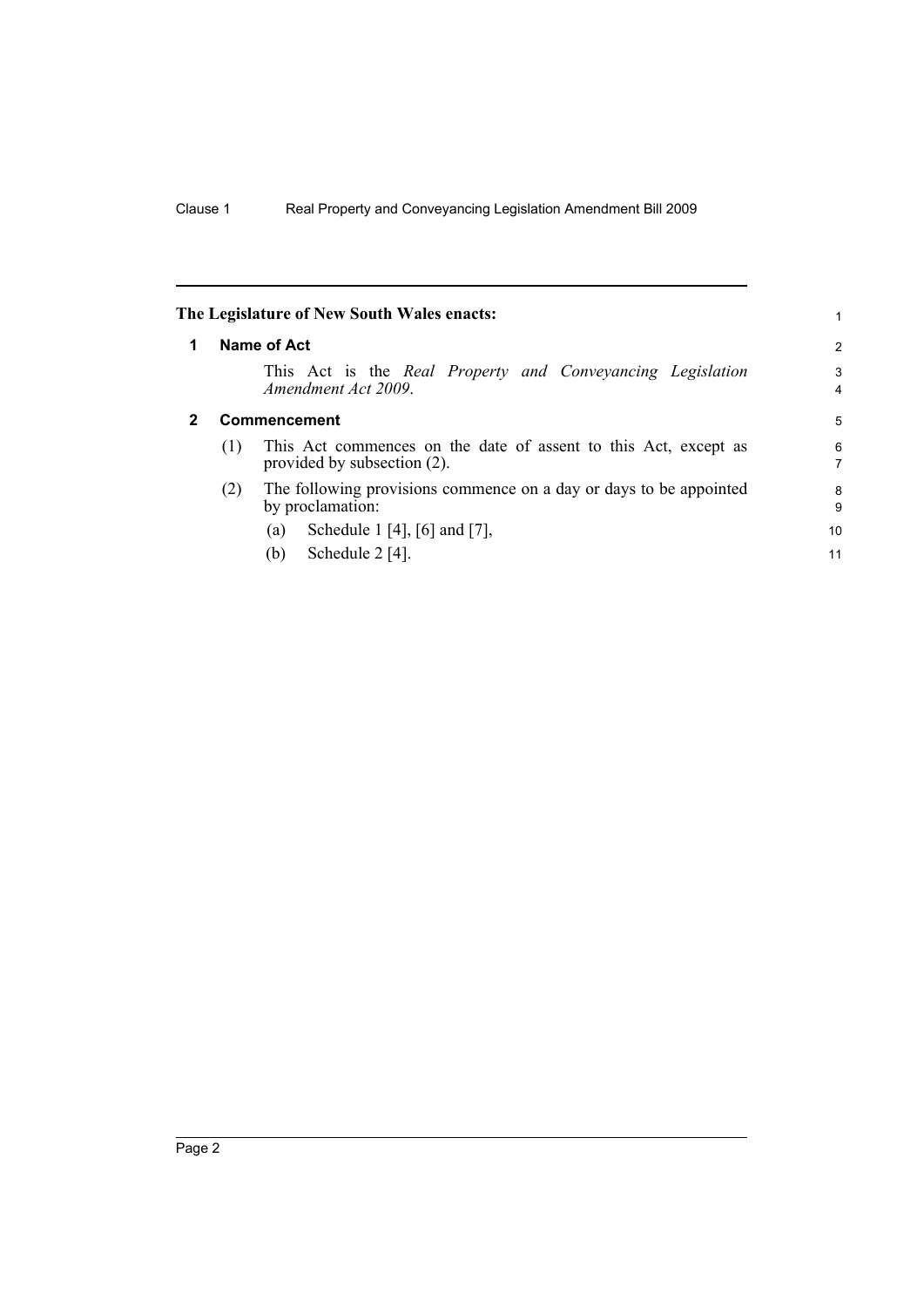<span id="page-9-1"></span><span id="page-9-0"></span>

|   |     | The Legislature of New South Wales enacts:                                                     |        |
|---|-----|------------------------------------------------------------------------------------------------|--------|
| 1 |     | Name of Act                                                                                    | 2      |
|   |     | This Act is the Real Property and Conveyancing Legislation<br>Amendment Act 2009.              | 3<br>4 |
| 2 |     | <b>Commencement</b>                                                                            | 5      |
|   | (1) | This Act commences on the date of assent to this Act, except as<br>provided by subsection (2). | 6<br>7 |
|   | (2) | The following provisions commence on a day or days to be appointed<br>by proclamation:         | 8<br>9 |
|   |     | Schedule 1 [4], [6] and [7],<br>(a)                                                            | 10     |
|   |     | Schedule $2 \lfloor 4 \rfloor$ .<br>(b)                                                        | 11     |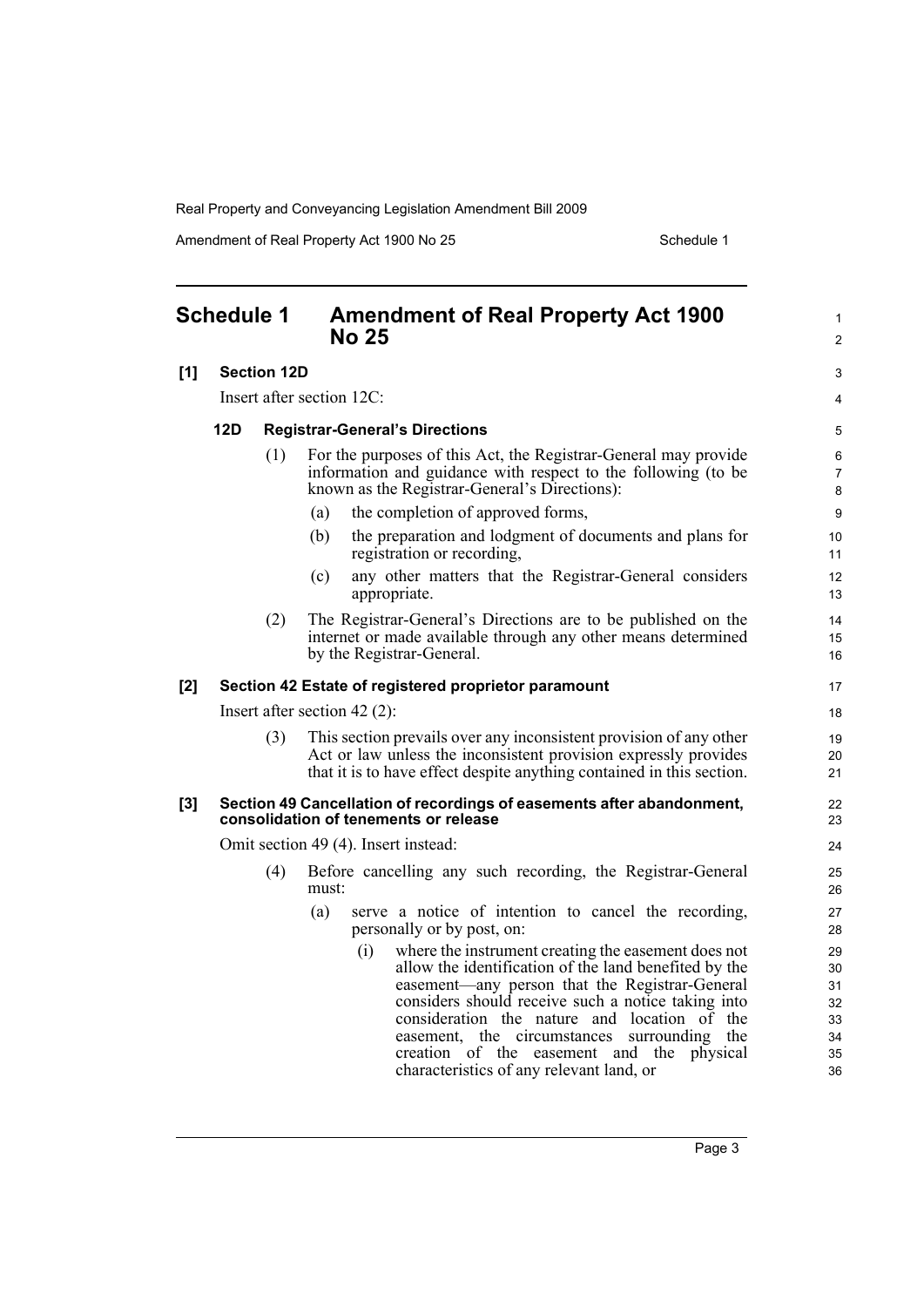Amendment of Real Property Act 1900 No 25 Schedule 1

<span id="page-10-0"></span>

| <b>Schedule 1</b> |     |                    | <b>Amendment of Real Property Act 1900</b><br><b>No 25</b>                                                                                                                                                                                                                                                                                                                                                                | 1<br>$\overline{2}$                          |
|-------------------|-----|--------------------|---------------------------------------------------------------------------------------------------------------------------------------------------------------------------------------------------------------------------------------------------------------------------------------------------------------------------------------------------------------------------------------------------------------------------|----------------------------------------------|
| [1]               |     | <b>Section 12D</b> |                                                                                                                                                                                                                                                                                                                                                                                                                           | 3                                            |
|                   |     |                    | Insert after section 12C:                                                                                                                                                                                                                                                                                                                                                                                                 | 4                                            |
|                   | 12D |                    | <b>Registrar-General's Directions</b>                                                                                                                                                                                                                                                                                                                                                                                     | 5                                            |
|                   |     | (1)                | For the purposes of this Act, the Registrar-General may provide<br>information and guidance with respect to the following (to be<br>known as the Registrar-General's Directions):                                                                                                                                                                                                                                         | 6<br>$\overline{7}$<br>8                     |
|                   |     |                    | the completion of approved forms,<br>(a)                                                                                                                                                                                                                                                                                                                                                                                  | 9                                            |
|                   |     |                    | (b)<br>the preparation and lodgment of documents and plans for<br>registration or recording,                                                                                                                                                                                                                                                                                                                              | 10<br>11                                     |
|                   |     |                    | any other matters that the Registrar-General considers<br>(c)<br>appropriate.                                                                                                                                                                                                                                                                                                                                             | 12<br>13                                     |
|                   |     | (2)                | The Registrar-General's Directions are to be published on the<br>internet or made available through any other means determined<br>by the Registrar-General.                                                                                                                                                                                                                                                               | 14<br>15<br>16                               |
| [2]               |     |                    | Section 42 Estate of registered proprietor paramount                                                                                                                                                                                                                                                                                                                                                                      | 17                                           |
|                   |     |                    | Insert after section $42(2)$ :                                                                                                                                                                                                                                                                                                                                                                                            | 18                                           |
|                   |     | (3)                | This section prevails over any inconsistent provision of any other<br>Act or law unless the inconsistent provision expressly provides<br>that it is to have effect despite anything contained in this section.                                                                                                                                                                                                            | 19<br>20<br>21                               |
| $[3]$             |     |                    | Section 49 Cancellation of recordings of easements after abandonment,<br>consolidation of tenements or release                                                                                                                                                                                                                                                                                                            | 22<br>23                                     |
|                   |     |                    | Omit section 49 (4). Insert instead:                                                                                                                                                                                                                                                                                                                                                                                      | 24                                           |
|                   |     | (4)                | Before cancelling any such recording, the Registrar-General<br>must:                                                                                                                                                                                                                                                                                                                                                      | 25<br>26                                     |
|                   |     |                    | serve a notice of intention to cancel the recording,<br>(a)<br>personally or by post, on:                                                                                                                                                                                                                                                                                                                                 | 27<br>28                                     |
|                   |     |                    | where the instrument creating the easement does not<br>(i)<br>allow the identification of the land benefited by the<br>easement—any person that the Registrar-General<br>considers should receive such a notice taking into<br>consideration the nature and location of the<br>easement, the circumstances surrounding<br>the<br>creation of the<br>easement and the physical<br>characteristics of any relevant land, or | 29<br>30<br>31<br>32<br>33<br>34<br>35<br>36 |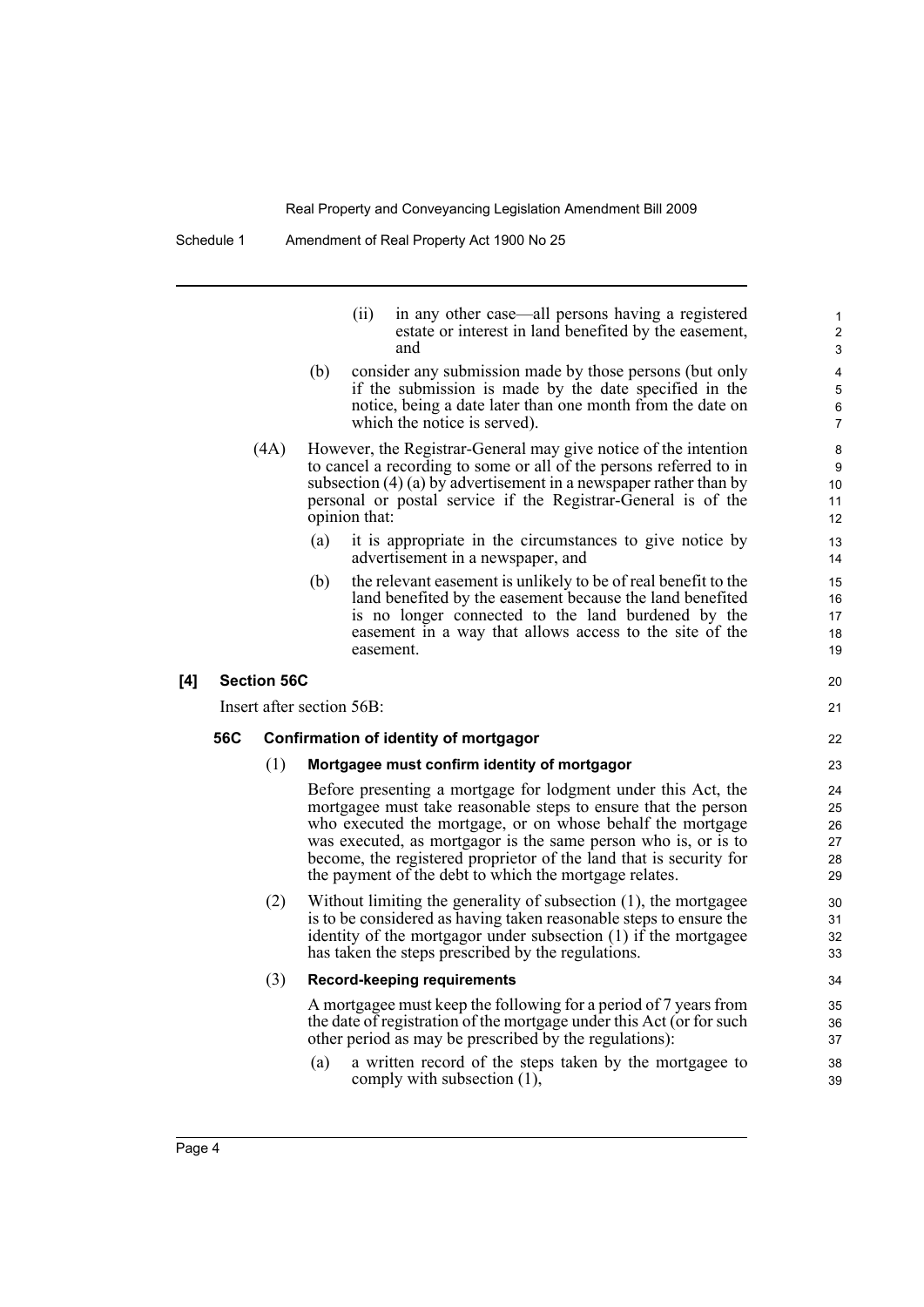Schedule 1 Amendment of Real Property Act 1900 No 25

|     |                           |     |     | (ii)          | in any other case—all persons having a registered<br>estate or interest in land benefited by the easement,<br>and                                                                                                                                                                                                                     | $\mathbf{1}$<br>$\overline{\mathbf{c}}$<br>$\ensuremath{\mathsf{3}}$   |
|-----|---------------------------|-----|-----|---------------|---------------------------------------------------------------------------------------------------------------------------------------------------------------------------------------------------------------------------------------------------------------------------------------------------------------------------------------|------------------------------------------------------------------------|
|     |                           |     | (b) |               | consider any submission made by those persons (but only<br>if the submission is made by the date specified in the<br>notice, being a date later than one month from the date on<br>which the notice is served).                                                                                                                       | $\overline{\mathbf{4}}$<br>$\overline{5}$<br>$\,6\,$<br>$\overline{7}$ |
|     | (4A)                      |     |     | opinion that: | However, the Registrar-General may give notice of the intention<br>to cancel a recording to some or all of the persons referred to in<br>subsection $(4)$ (a) by advertisement in a newspaper rather than by<br>personal or postal service if the Registrar-General is of the                                                         | $\bf8$<br>9<br>10<br>11<br>12                                          |
|     |                           |     | (a) |               | it is appropriate in the circumstances to give notice by<br>advertisement in a newspaper, and                                                                                                                                                                                                                                         | 13<br>14                                                               |
|     |                           |     | (b) | easement.     | the relevant easement is unlikely to be of real benefit to the<br>land benefited by the easement because the land benefited<br>is no longer connected to the land burdened by the<br>easement in a way that allows access to the site of the                                                                                          | 15<br>16<br>17<br>18<br>19                                             |
| [4] | <b>Section 56C</b>        |     |     |               |                                                                                                                                                                                                                                                                                                                                       | 20                                                                     |
|     | Insert after section 56B: |     |     |               |                                                                                                                                                                                                                                                                                                                                       | 21                                                                     |
|     | 56C                       |     |     |               | Confirmation of identity of mortgagor                                                                                                                                                                                                                                                                                                 | 22                                                                     |
|     |                           | (1) |     |               | Mortgagee must confirm identity of mortgagor                                                                                                                                                                                                                                                                                          | 23                                                                     |
|     |                           |     |     |               | Before presenting a mortgage for lodgment under this Act, the<br>mortgagee must take reasonable steps to ensure that the person<br>who executed the mortgage, or on whose behalf the mortgage<br>was executed, as mortgagor is the same person who is, or is to<br>become, the registered proprietor of the land that is security for | 24<br>25<br>26<br>27<br>28                                             |

(2) Without limiting the generality of subsection (1), the mortgagee is to be considered as having taken reasonable steps to ensure the identity of the mortgagor under subsection (1) if the mortgagee has taken the steps prescribed by the regulations.

the payment of the debt to which the mortgage relates.

#### (3) **Record-keeping requirements**

A mortgagee must keep the following for a period of 7 years from the date of registration of the mortgage under this Act (or for such other period as may be prescribed by the regulations):

(a) a written record of the steps taken by the mortgagee to comply with subsection (1),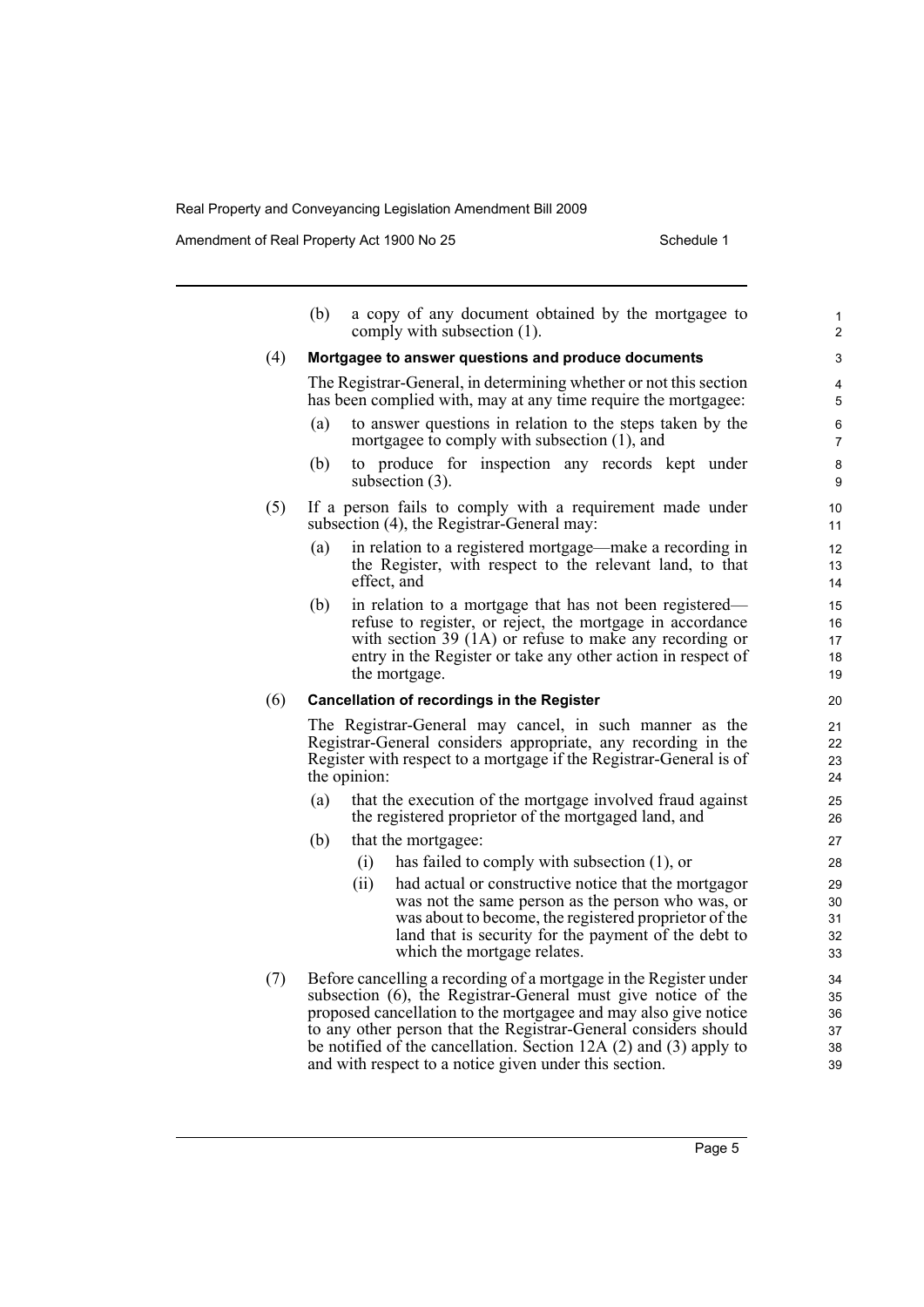Amendment of Real Property Act 1900 No 25 Schedule 1

|     | (b) | a copy of any document obtained by the mortgagee to<br>comply with subsection (1).                                                                                                                                                                                                                                                                                                                      | 1<br>$\overline{2}$        |
|-----|-----|---------------------------------------------------------------------------------------------------------------------------------------------------------------------------------------------------------------------------------------------------------------------------------------------------------------------------------------------------------------------------------------------------------|----------------------------|
| (4) |     | Mortgagee to answer questions and produce documents                                                                                                                                                                                                                                                                                                                                                     | 3                          |
|     |     | The Registrar-General, in determining whether or not this section<br>has been complied with, may at any time require the mortgagee:                                                                                                                                                                                                                                                                     | 4<br>5                     |
|     | (a) | to answer questions in relation to the steps taken by the<br>mortgagee to comply with subsection (1), and                                                                                                                                                                                                                                                                                               | 6<br>$\overline{7}$        |
|     | (b) | to produce for inspection any records kept under<br>subsection $(3)$ .                                                                                                                                                                                                                                                                                                                                  | 8<br>9                     |
| (5) |     | If a person fails to comply with a requirement made under<br>subsection (4), the Registrar-General may:                                                                                                                                                                                                                                                                                                 | 10<br>11                   |
|     | (a) | in relation to a registered mortgage—make a recording in<br>the Register, with respect to the relevant land, to that<br>effect, and                                                                                                                                                                                                                                                                     | 12<br>13<br>14             |
|     | (b) | in relation to a mortgage that has not been registered—<br>refuse to register, or reject, the mortgage in accordance<br>with section 39 $(1A)$ or refuse to make any recording or<br>entry in the Register or take any other action in respect of<br>the mortgage.                                                                                                                                      | 15<br>16<br>17<br>18<br>19 |
| (6) |     | <b>Cancellation of recordings in the Register</b>                                                                                                                                                                                                                                                                                                                                                       | 20                         |
|     |     | The Registrar-General may cancel, in such manner as the<br>Registrar-General considers appropriate, any recording in the<br>Register with respect to a mortgage if the Registrar-General is of<br>the opinion:                                                                                                                                                                                          | 21<br>22<br>23<br>24       |
|     | (a) | that the execution of the mortgage involved fraud against<br>the registered proprietor of the mortgaged land, and                                                                                                                                                                                                                                                                                       | 25<br>26                   |
|     | (b) | that the mortgagee:                                                                                                                                                                                                                                                                                                                                                                                     | 27                         |
|     |     | has failed to comply with subsection $(1)$ , or<br>(i)                                                                                                                                                                                                                                                                                                                                                  | 28                         |
|     |     | (ii)<br>had actual or constructive notice that the mortgagor                                                                                                                                                                                                                                                                                                                                            | 29                         |
|     |     | was not the same person as the person who was, or<br>was about to become, the registered proprietor of the                                                                                                                                                                                                                                                                                              | 30<br>31                   |
|     |     | land that is security for the payment of the debt to<br>which the mortgage relates.                                                                                                                                                                                                                                                                                                                     | 32<br>33                   |
| (7) |     | Before cancelling a recording of a mortgage in the Register under<br>subsection (6), the Registrar-General must give notice of the<br>proposed cancellation to the mortgagee and may also give notice<br>to any other person that the Registrar-General considers should<br>be notified of the cancellation. Section 12A (2) and (3) apply to<br>and with respect to a notice given under this section. | 34<br>35<br>36<br>37<br>38 |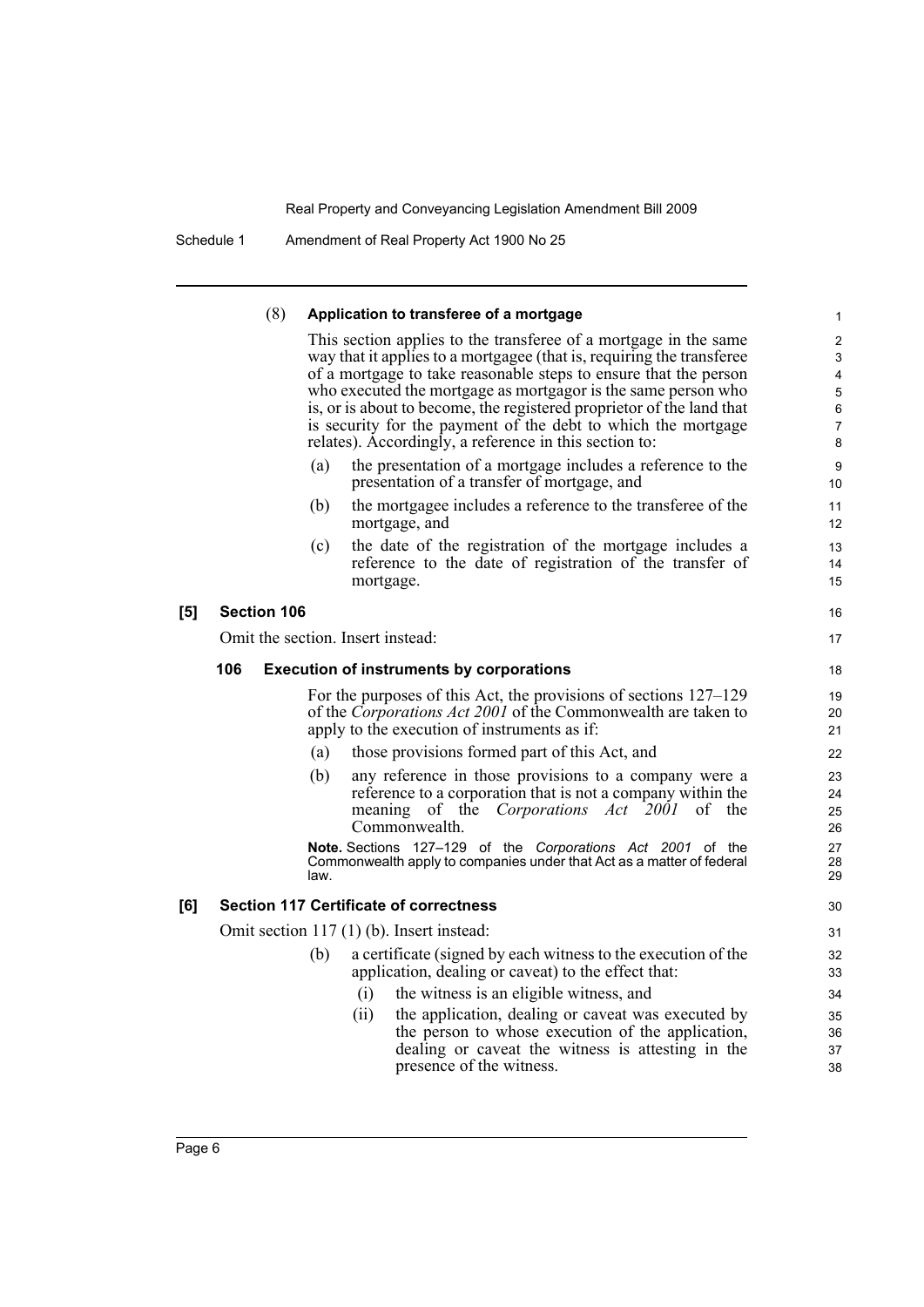Schedule 1 Amendment of Real Property Act 1900 No 25

|     | (8)                | Application to transferee of a mortgage                                                                                                                                                                                                                                                                                                                                                                                                                                           | 1                                                     |
|-----|--------------------|-----------------------------------------------------------------------------------------------------------------------------------------------------------------------------------------------------------------------------------------------------------------------------------------------------------------------------------------------------------------------------------------------------------------------------------------------------------------------------------|-------------------------------------------------------|
|     |                    | This section applies to the transferee of a mortgage in the same<br>way that it applies to a mortgage (that is, requiring the transferee<br>of a mortgage to take reasonable steps to ensure that the person<br>who executed the mortgage as mortgagor is the same person who<br>is, or is about to become, the registered proprietor of the land that<br>is security for the payment of the debt to which the mortgage<br>relates). Accordingly, a reference in this section to: | 2<br>3<br>$\overline{\mathbf{4}}$<br>5<br>6<br>7<br>8 |
|     |                    | the presentation of a mortgage includes a reference to the<br>(a)<br>presentation of a transfer of mortgage, and                                                                                                                                                                                                                                                                                                                                                                  | 9<br>10                                               |
|     |                    | the mortgagee includes a reference to the transferee of the<br>(b)<br>mortgage, and                                                                                                                                                                                                                                                                                                                                                                                               | 11<br>12                                              |
|     |                    | the date of the registration of the mortgage includes a<br>(c)<br>reference to the date of registration of the transfer of<br>mortgage.                                                                                                                                                                                                                                                                                                                                           | 13<br>14<br>15                                        |
| [5] | <b>Section 106</b> |                                                                                                                                                                                                                                                                                                                                                                                                                                                                                   | 16                                                    |
|     |                    | Omit the section. Insert instead:                                                                                                                                                                                                                                                                                                                                                                                                                                                 | 17                                                    |
|     | 106                | <b>Execution of instruments by corporations</b>                                                                                                                                                                                                                                                                                                                                                                                                                                   | 18                                                    |
|     |                    | For the purposes of this Act, the provisions of sections 127–129<br>of the <i>Corporations Act 2001</i> of the Commonwealth are taken to<br>apply to the execution of instruments as if:                                                                                                                                                                                                                                                                                          | 19<br>20<br>21                                        |
|     |                    | those provisions formed part of this Act, and<br>(a)                                                                                                                                                                                                                                                                                                                                                                                                                              | 22                                                    |
|     |                    | (b)<br>any reference in those provisions to a company were a<br>reference to a corporation that is not a company within the<br>meaning of the <i>Corporations Act 2001</i> of<br>the<br>Commonwealth.                                                                                                                                                                                                                                                                             | 23<br>24<br>25<br>26                                  |
|     |                    | Note Sections 127–129 of the Corporations Act 2001 of the<br>Commonwealth apply to companies under that Act as a matter of federal<br>law.                                                                                                                                                                                                                                                                                                                                        | 27<br>28<br>29                                        |
| [6] |                    | <b>Section 117 Certificate of correctness</b>                                                                                                                                                                                                                                                                                                                                                                                                                                     | 30                                                    |
|     |                    | Omit section $117(1)$ (b). Insert instead:                                                                                                                                                                                                                                                                                                                                                                                                                                        | 31                                                    |
|     |                    | a certificate (signed by each witness to the execution of the<br>(b)<br>application, dealing or caveat) to the effect that:<br>(i)<br>the witness is an eligible witness, and                                                                                                                                                                                                                                                                                                     | 32<br>33<br>34                                        |
|     |                    | (ii)<br>the application, dealing or caveat was executed by<br>the person to whose execution of the application,<br>dealing or caveat the witness is attesting in the<br>presence of the witness.                                                                                                                                                                                                                                                                                  | 35<br>36<br>37<br>38                                  |
|     |                    |                                                                                                                                                                                                                                                                                                                                                                                                                                                                                   |                                                       |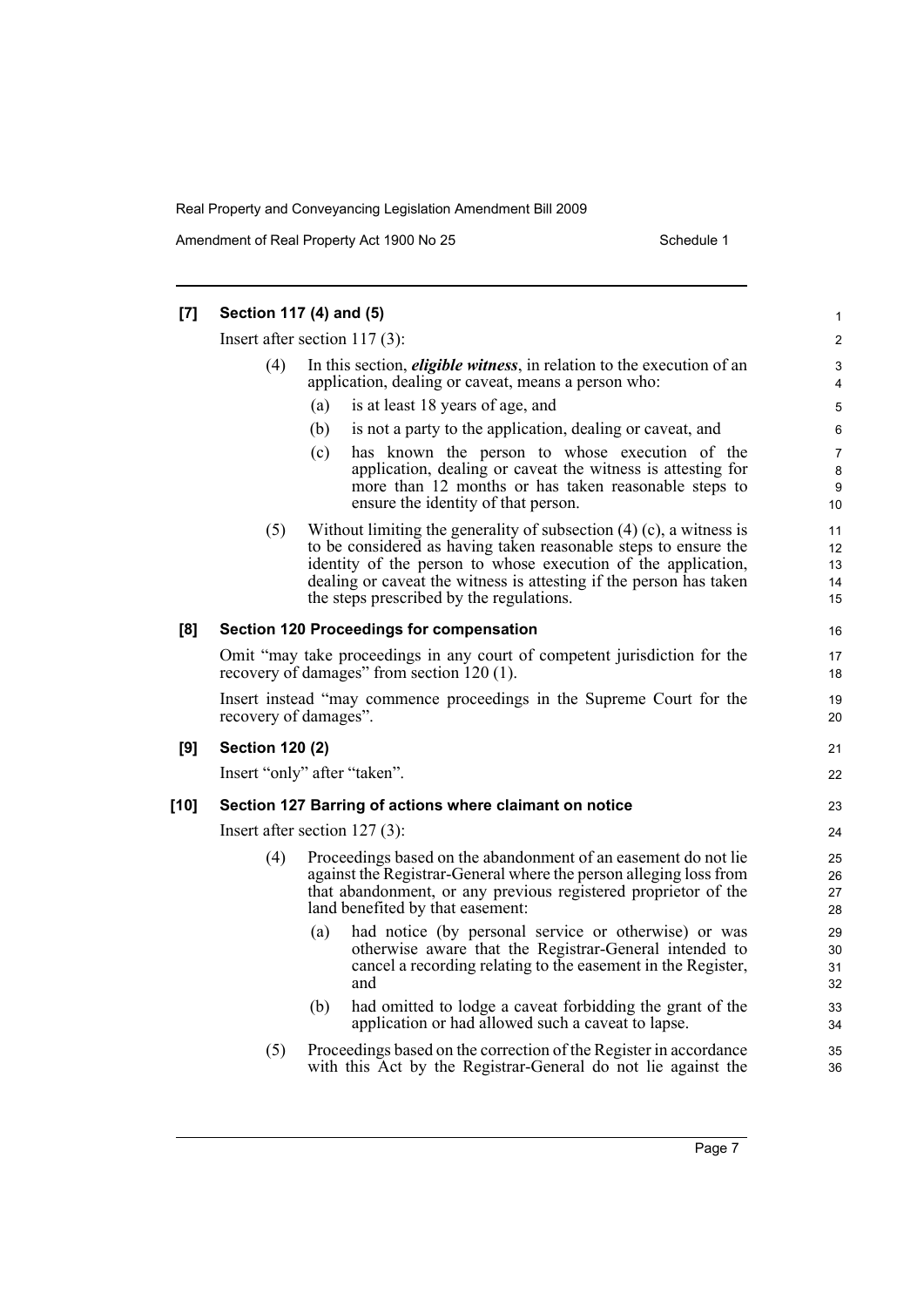Amendment of Real Property Act 1900 No 25 Schedule 1

| [7]    |                                 | Section 117 (4) and (5)                                                                                                                                                                                                                                                                                                     | 1                          |  |  |
|--------|---------------------------------|-----------------------------------------------------------------------------------------------------------------------------------------------------------------------------------------------------------------------------------------------------------------------------------------------------------------------------|----------------------------|--|--|
|        |                                 | Insert after section $117(3)$ :                                                                                                                                                                                                                                                                                             | 2                          |  |  |
|        | (4)                             | In this section, <i>eligible witness</i> , in relation to the execution of an<br>application, dealing or caveat, means a person who:                                                                                                                                                                                        | 3<br>4                     |  |  |
|        |                                 | is at least 18 years of age, and<br>(a)                                                                                                                                                                                                                                                                                     | 5                          |  |  |
|        |                                 | (b)<br>is not a party to the application, dealing or caveat, and                                                                                                                                                                                                                                                            | 6                          |  |  |
|        |                                 | (c)<br>has known the person to whose execution of the<br>application, dealing or caveat the witness is attesting for<br>more than 12 months or has taken reasonable steps to<br>ensure the identity of that person.                                                                                                         | 7<br>$\bf 8$<br>9<br>10    |  |  |
|        | (5)                             | Without limiting the generality of subsection $(4)$ (c), a witness is<br>to be considered as having taken reasonable steps to ensure the<br>identity of the person to whose execution of the application,<br>dealing or caveat the witness is attesting if the person has taken<br>the steps prescribed by the regulations. | 11<br>12<br>13<br>14<br>15 |  |  |
| [8]    |                                 | <b>Section 120 Proceedings for compensation</b>                                                                                                                                                                                                                                                                             | 16                         |  |  |
|        |                                 | Omit "may take proceedings in any court of competent jurisdiction for the<br>recovery of damages" from section 120 (1).                                                                                                                                                                                                     | 17<br>18                   |  |  |
|        |                                 | Insert instead "may commence proceedings in the Supreme Court for the<br>recovery of damages".                                                                                                                                                                                                                              | 19<br>20                   |  |  |
| [9]    | <b>Section 120 (2)</b>          |                                                                                                                                                                                                                                                                                                                             | 21                         |  |  |
|        |                                 | Insert "only" after "taken".                                                                                                                                                                                                                                                                                                | 22                         |  |  |
| $[10]$ |                                 | Section 127 Barring of actions where claimant on notice                                                                                                                                                                                                                                                                     | 23                         |  |  |
|        | Insert after section $127(3)$ : |                                                                                                                                                                                                                                                                                                                             |                            |  |  |
|        | (4)                             | Proceedings based on the abandonment of an easement do not lie.<br>against the Registrar-General where the person alleging loss from<br>that abandonment, or any previous registered proprietor of the<br>land benefited by that easement:                                                                                  | 25<br>26<br>27<br>28       |  |  |
|        |                                 | had notice (by personal service or otherwise) or was<br>(a)<br>otherwise aware that the Registrar-General intended to<br>cancel a recording relating to the easement in the Register,<br>and                                                                                                                                | 29<br>30<br>31<br>32       |  |  |
|        |                                 | (b)<br>had omitted to lodge a caveat forbidding the grant of the<br>application or had allowed such a caveat to lapse.                                                                                                                                                                                                      | 33<br>34                   |  |  |
|        | (5)                             | Proceedings based on the correction of the Register in accordance<br>with this Act by the Registrar-General do not lie against the                                                                                                                                                                                          | 35<br>36                   |  |  |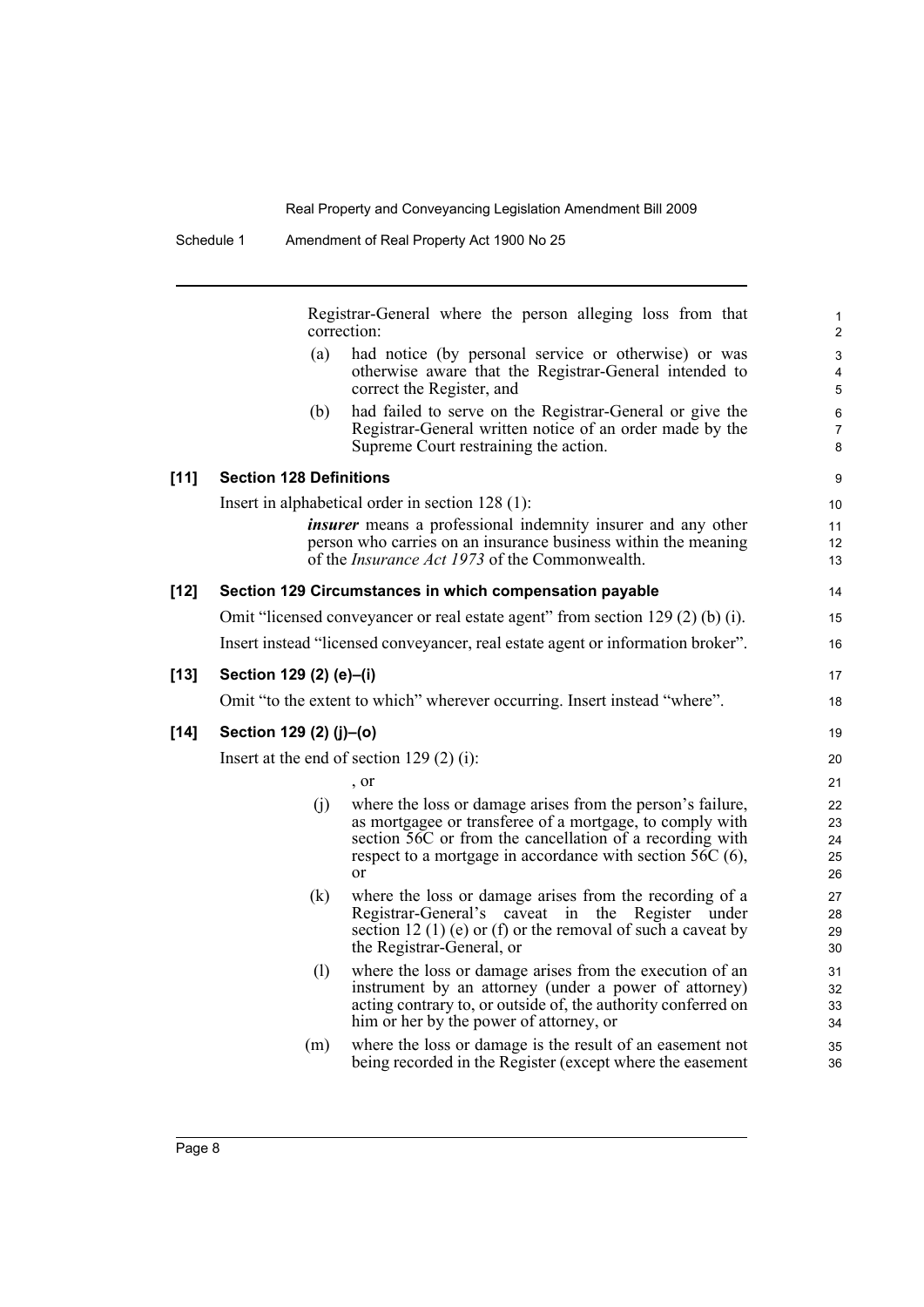Registrar-General where the person alleging loss from that correction:

14 15 16

- (a) had notice (by personal service or otherwise) or was otherwise aware that the Registrar-General intended to correct the Register, and
- (b) had failed to serve on the Registrar-General or give the Registrar-General written notice of an order made by the Supreme Court restraining the action.

#### **[11] Section 128 Definitions**

| Insert in alphabetical order in section $128(1)$ :                                                                                                                                             |  |
|------------------------------------------------------------------------------------------------------------------------------------------------------------------------------------------------|--|
| <i>insurer</i> means a professional indemnity insurer and any other<br>person who carries on an insurance business within the meaning<br>of the <i>Insurance Act 1973</i> of the Commonwealth. |  |

#### **[12] Section 129 Circumstances in which compensation payable**

Omit "licensed conveyancer or real estate agent" from section 129 (2) (b) (i). Insert instead "licensed conveyancer, real estate agent or information broker".

#### **[13] Section 129 (2) (e)–(i)**

Omit "to the extent to which" wherever occurring. Insert instead "where".

### **[14] Section 129 (2) (j)–(o)**

Insert at the end of section 129 (2) (i):

, or

- (j) where the loss or damage arises from the person's failure, as mortgagee or transferee of a mortgage, to comply with section 56C or from the cancellation of a recording with respect to a mortgage in accordance with section 56C (6), or
- (k) where the loss or damage arises from the recording of a Registrar-General's caveat in the Register under section 12 (1) (e) or (f) or the removal of such a caveat by the Registrar-General, or
- (l) where the loss or damage arises from the execution of an instrument by an attorney (under a power of attorney) acting contrary to, or outside of, the authority conferred on him or her by the power of attorney, or
- (m) where the loss or damage is the result of an easement not being recorded in the Register (except where the easement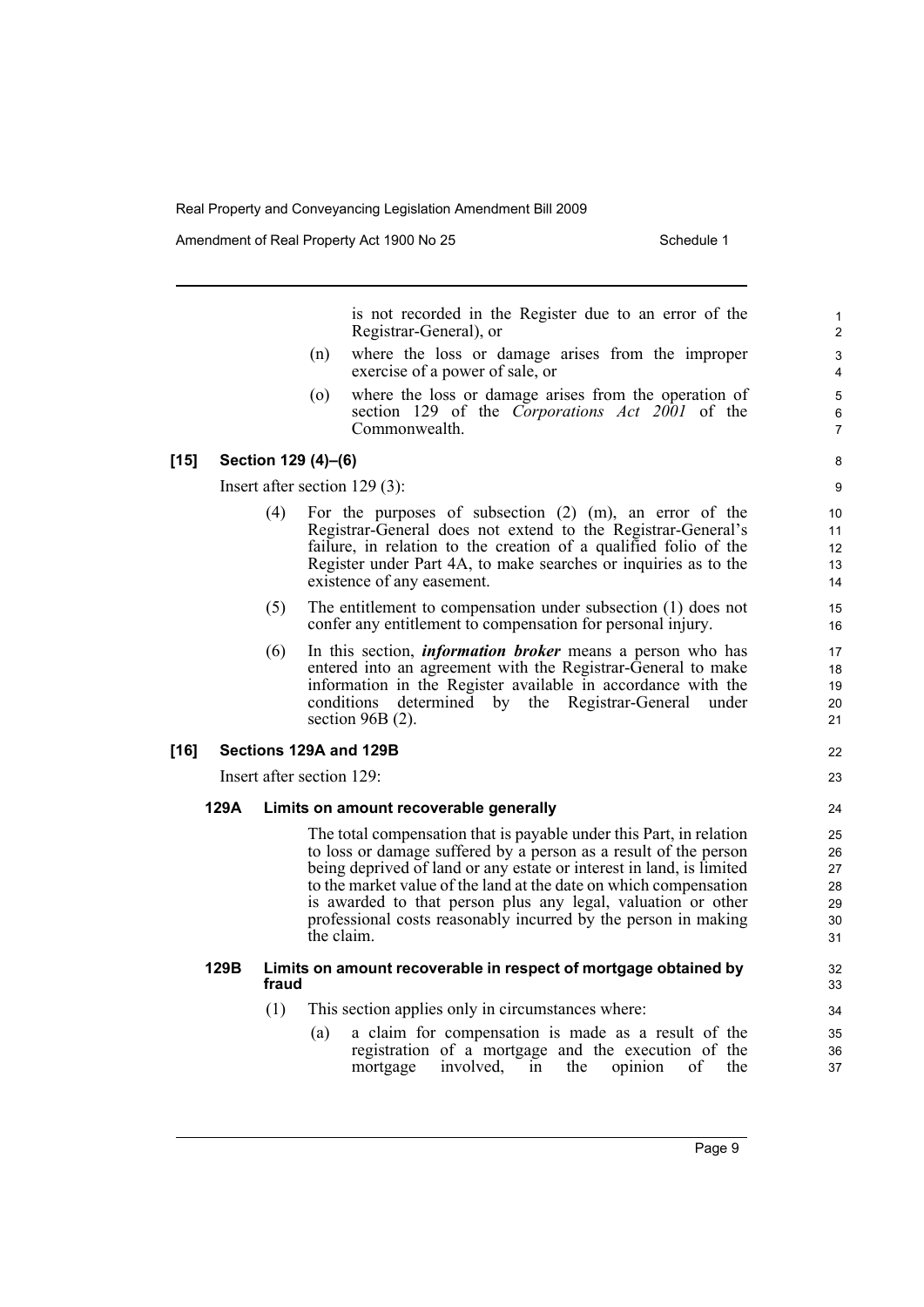Amendment of Real Property Act 1900 No 25 Schedule 1

22 23

is not recorded in the Register due to an error of the Registrar-General), or

- (n) where the loss or damage arises from the improper exercise of a power of sale, or
- (o) where the loss or damage arises from the operation of section 129 of the *Corporations Act 2001* of the Commonwealth.

### **[15] Section 129 (4)–(6)**

Insert after section 129 (3):

- (4) For the purposes of subsection (2) (m), an error of the Registrar-General does not extend to the Registrar-General's failure, in relation to the creation of a qualified folio of the Register under Part 4A, to make searches or inquiries as to the existence of any easement.
- (5) The entitlement to compensation under subsection (1) does not confer any entitlement to compensation for personal injury.
- (6) In this section, *information broker* means a person who has entered into an agreement with the Registrar-General to make information in the Register available in accordance with the conditions determined by the Registrar-General under section 96B (2).

#### **[16] Sections 129A and 129B**

Insert after section 129:

#### **129A Limits on amount recoverable generally**

The total compensation that is payable under this Part, in relation to loss or damage suffered by a person as a result of the person being deprived of land or any estate or interest in land, is limited to the market value of the land at the date on which compensation is awarded to that person plus any legal, valuation or other professional costs reasonably incurred by the person in making the claim.

#### **129B Limits on amount recoverable in respect of mortgage obtained by fraud**

- (1) This section applies only in circumstances where:
	- (a) a claim for compensation is made as a result of the registration of a mortgage and the execution of the mortgage involved, in the opinion of the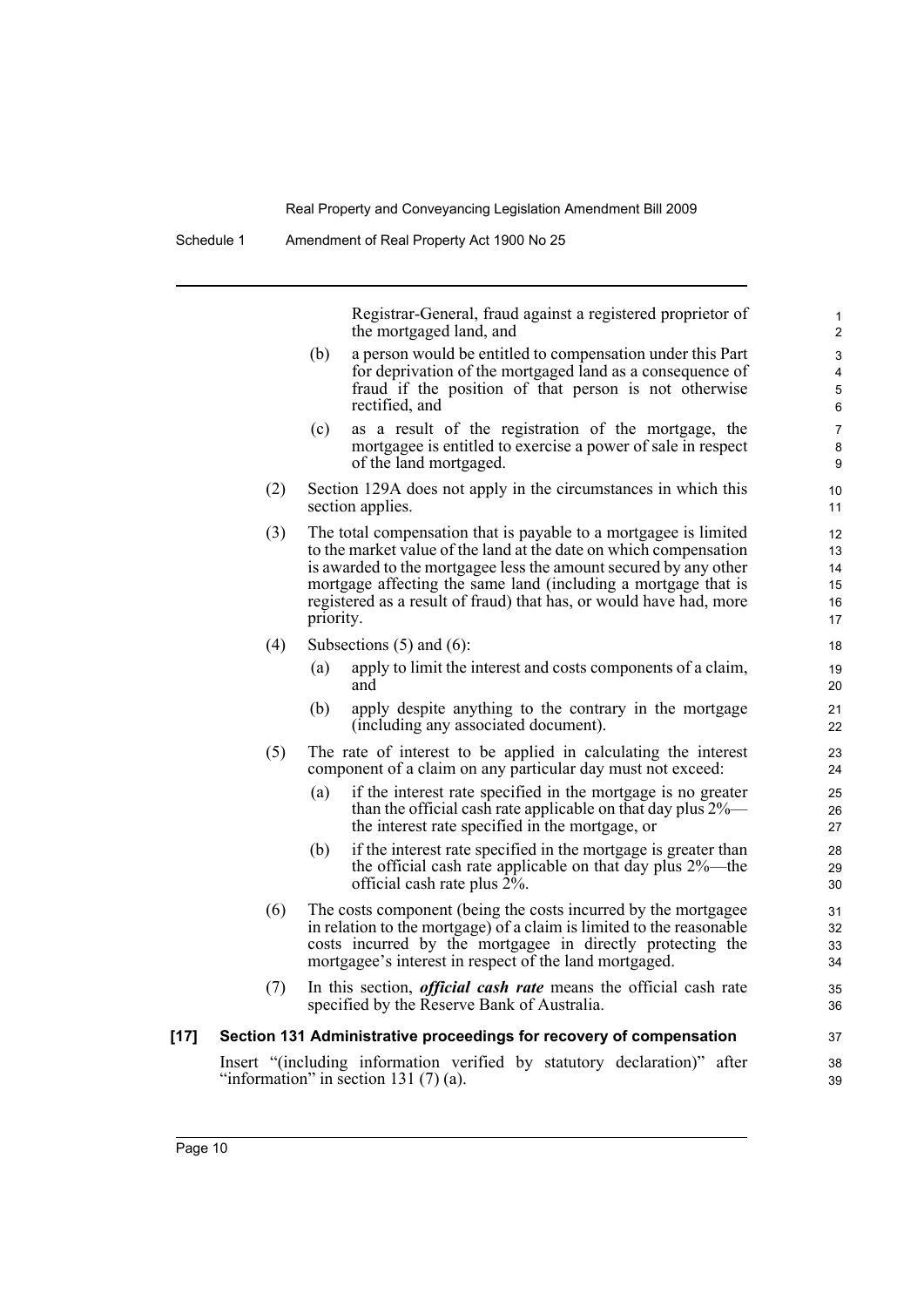Registrar-General, fraud against a registered proprietor of the mortgaged land, and

- (b) a person would be entitled to compensation under this Part for deprivation of the mortgaged land as a consequence of fraud if the position of that person is not otherwise rectified, and
- (c) as a result of the registration of the mortgage, the mortgagee is entitled to exercise a power of sale in respect of the land mortgaged.
- (2) Section 129A does not apply in the circumstances in which this section applies.
- (3) The total compensation that is payable to a mortgagee is limited to the market value of the land at the date on which compensation is awarded to the mortgagee less the amount secured by any other mortgage affecting the same land (including a mortgage that is registered as a result of fraud) that has, or would have had, more priority.
- $(4)$  Subsections  $(5)$  and  $(6)$ :
	- (a) apply to limit the interest and costs components of a claim, and
	- (b) apply despite anything to the contrary in the mortgage (including any associated document).
- (5) The rate of interest to be applied in calculating the interest component of a claim on any particular day must not exceed:
	- (a) if the interest rate specified in the mortgage is no greater than the official cash rate applicable on that day plus 2% the interest rate specified in the mortgage, or
	- (b) if the interest rate specified in the mortgage is greater than the official cash rate applicable on that day plus 2%—the official cash rate plus  $2\%$ .
- (6) The costs component (being the costs incurred by the mortgagee in relation to the mortgage) of a claim is limited to the reasonable costs incurred by the mortgagee in directly protecting the mortgagee's interest in respect of the land mortgaged.
- (7) In this section, *official cash rate* means the official cash rate specified by the Reserve Bank of Australia.

#### **[17] Section 131 Administrative proceedings for recovery of compensation**

Insert "(including information verified by statutory declaration)" after "information" in section 131 $(7)$  $(a)$ .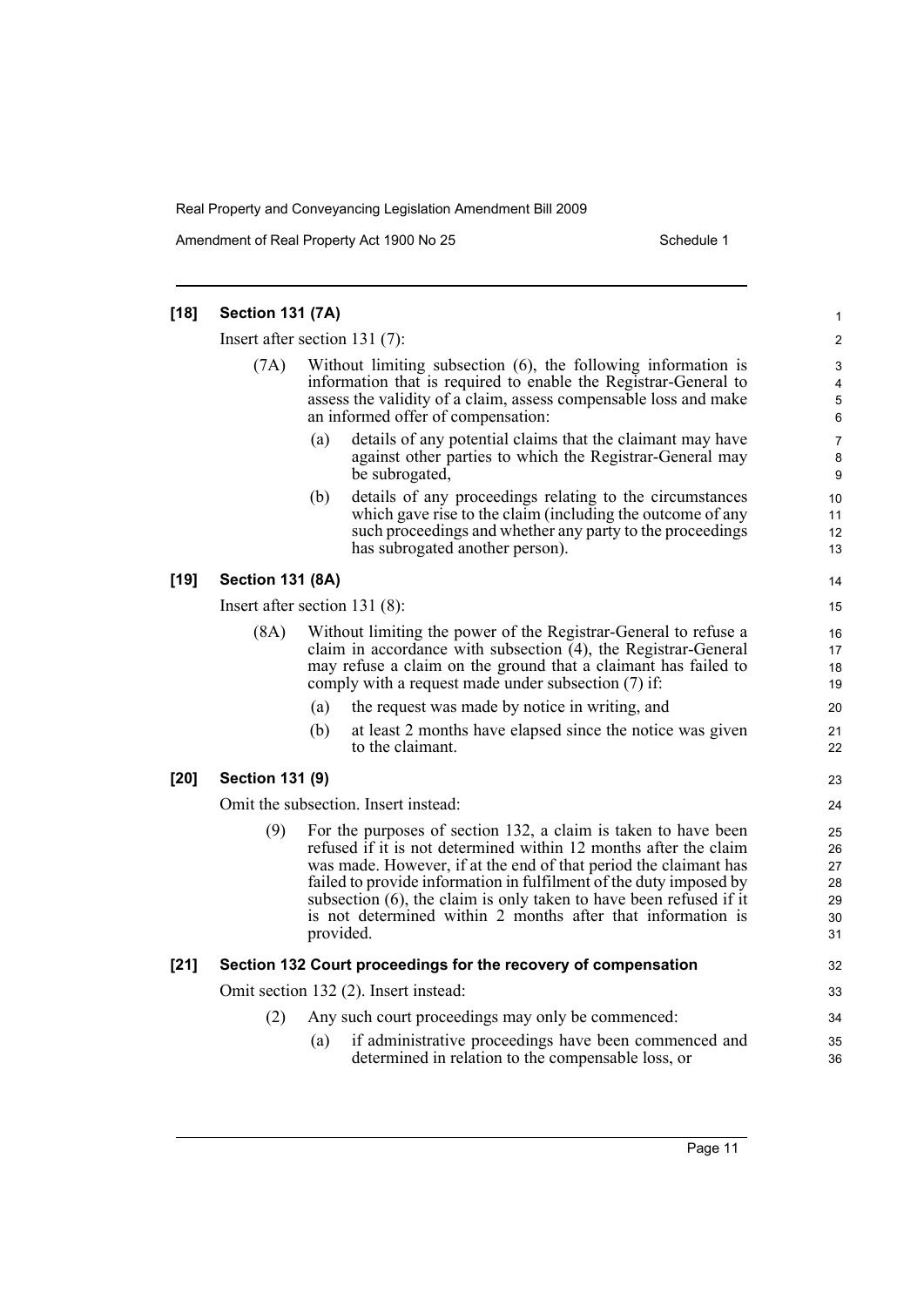Amendment of Real Property Act 1900 No 25 Schedule 1

| $[18]$ | <b>Section 131 (7A)</b>          |     |                                                                                                                                                                                                                                                                                                                                                                                                                                | 1                                      |
|--------|----------------------------------|-----|--------------------------------------------------------------------------------------------------------------------------------------------------------------------------------------------------------------------------------------------------------------------------------------------------------------------------------------------------------------------------------------------------------------------------------|----------------------------------------|
|        | Insert after section $131(7)$ :  |     |                                                                                                                                                                                                                                                                                                                                                                                                                                | $\overline{\mathbf{c}}$                |
|        | (7A)                             |     | Without limiting subsection $(6)$ , the following information is<br>information that is required to enable the Registrar-General to<br>assess the validity of a claim, assess compensable loss and make<br>an informed offer of compensation:                                                                                                                                                                                  | 3<br>4<br>5<br>6                       |
|        |                                  | (a) | details of any potential claims that the claimant may have<br>against other parties to which the Registrar-General may<br>be subrogated,                                                                                                                                                                                                                                                                                       | 7<br>8<br>9                            |
|        |                                  | (b) | details of any proceedings relating to the circumstances<br>which gave rise to the claim (including the outcome of any<br>such proceedings and whether any party to the proceedings<br>has subrogated another person).                                                                                                                                                                                                         | 10<br>11<br>12<br>13                   |
| $[19]$ | <b>Section 131 (8A)</b>          |     |                                                                                                                                                                                                                                                                                                                                                                                                                                | 14                                     |
|        | Insert after section 131 $(8)$ : |     |                                                                                                                                                                                                                                                                                                                                                                                                                                | 15                                     |
|        | (8A)                             |     | Without limiting the power of the Registrar-General to refuse a<br>claim in accordance with subsection (4), the Registrar-General<br>may refuse a claim on the ground that a claimant has failed to<br>comply with a request made under subsection (7) if:                                                                                                                                                                     | 16<br>17<br>18<br>19                   |
|        |                                  | (a) | the request was made by notice in writing, and                                                                                                                                                                                                                                                                                                                                                                                 | 20                                     |
|        |                                  | (b) | at least 2 months have elapsed since the notice was given<br>to the claimant.                                                                                                                                                                                                                                                                                                                                                  | 21<br>22                               |
| $[20]$ | <b>Section 131 (9)</b>           |     |                                                                                                                                                                                                                                                                                                                                                                                                                                | 23                                     |
|        |                                  |     | Omit the subsection. Insert instead:                                                                                                                                                                                                                                                                                                                                                                                           | 24                                     |
|        | (9)                              |     | For the purposes of section 132, a claim is taken to have been<br>refused if it is not determined within 12 months after the claim<br>was made. However, if at the end of that period the claimant has<br>failed to provide information in fulfilment of the duty imposed by<br>subsection (6), the claim is only taken to have been refused if it<br>is not determined within 2 months after that information is<br>provided. | 25<br>26<br>27<br>28<br>29<br>30<br>31 |
| $[21]$ |                                  |     | Section 132 Court proceedings for the recovery of compensation                                                                                                                                                                                                                                                                                                                                                                 | 32                                     |
|        |                                  |     | Omit section 132 (2). Insert instead:                                                                                                                                                                                                                                                                                                                                                                                          | 33                                     |
|        | (2)                              |     | Any such court proceedings may only be commenced:                                                                                                                                                                                                                                                                                                                                                                              | 34                                     |
|        |                                  | (a) | if administrative proceedings have been commenced and<br>determined in relation to the compensable loss, or                                                                                                                                                                                                                                                                                                                    | 35<br>36                               |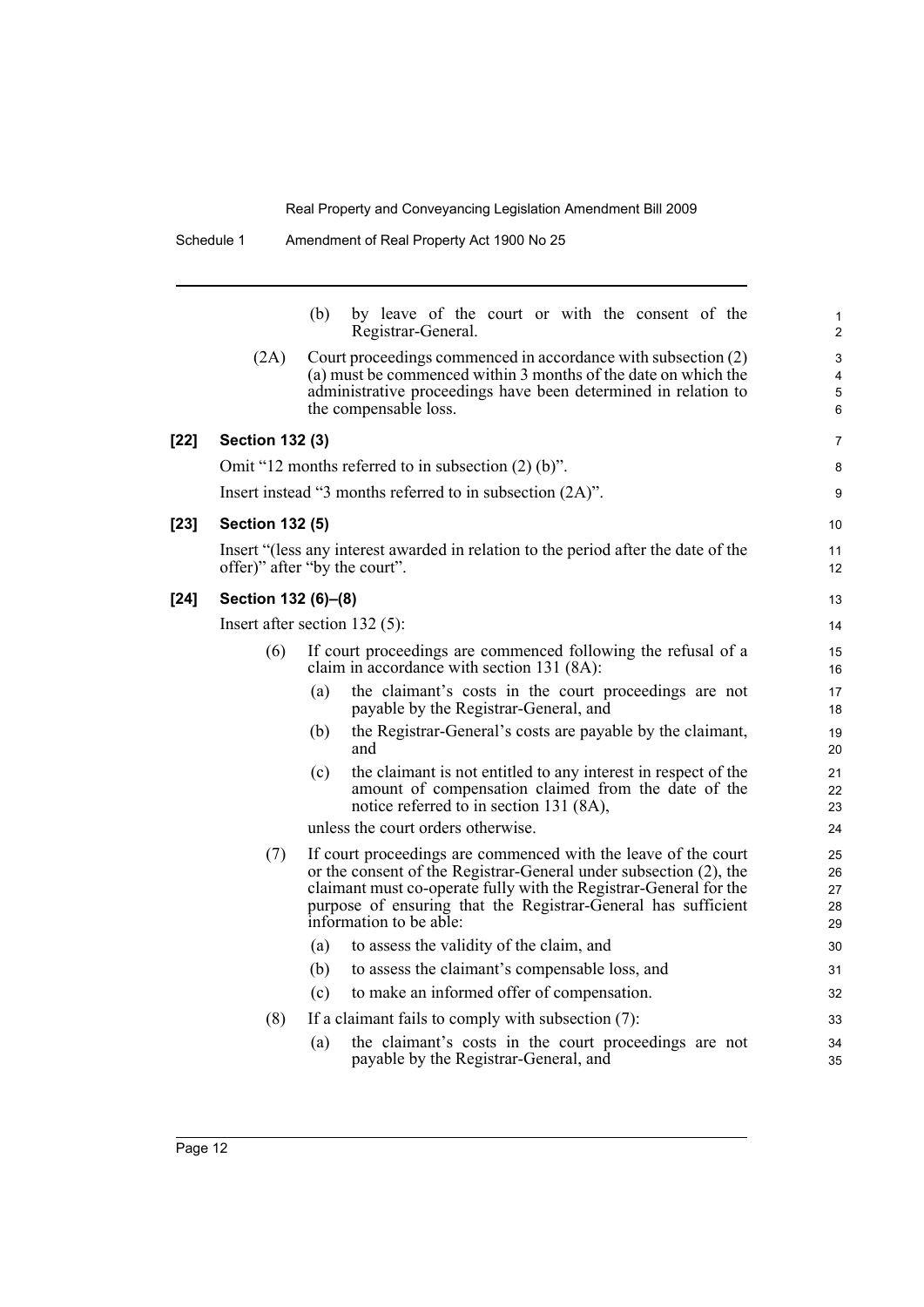| Schedule 1 | Amendment of Real Property Act 1900 No 25 |
|------------|-------------------------------------------|
|            |                                           |

|      |                        | by leave of the court or with the consent of the<br>(b)<br>Registrar-General.                                                                                                                                                                                                                        | 1<br>$\overline{2}$        |
|------|------------------------|------------------------------------------------------------------------------------------------------------------------------------------------------------------------------------------------------------------------------------------------------------------------------------------------------|----------------------------|
|      | (2A)                   | Court proceedings commenced in accordance with subsection (2)<br>(a) must be commenced within 3 months of the date on which the<br>administrative proceedings have been determined in relation to<br>the compensable loss.                                                                           | 3<br>4<br>5<br>6           |
| [22] | <b>Section 132 (3)</b> |                                                                                                                                                                                                                                                                                                      | 7                          |
|      |                        | Omit "12 months referred to in subsection $(2)$ (b)".                                                                                                                                                                                                                                                | 8                          |
|      |                        | Insert instead "3 months referred to in subsection $(2A)$ ".                                                                                                                                                                                                                                         | 9                          |
| [23] | <b>Section 132 (5)</b> |                                                                                                                                                                                                                                                                                                      | 10                         |
|      |                        | Insert "(less any interest awarded in relation to the period after the date of the<br>offer)" after "by the court".                                                                                                                                                                                  | 11<br>12                   |
| [24] | Section 132 (6)-(8)    |                                                                                                                                                                                                                                                                                                      | 13                         |
|      |                        | Insert after section $132(5)$ :                                                                                                                                                                                                                                                                      | 14                         |
|      | (6)                    | If court proceedings are commenced following the refusal of a<br>claim in accordance with section 131 (8A):                                                                                                                                                                                          | 15<br>16                   |
|      |                        | the claimant's costs in the court proceedings are not<br>(a)<br>payable by the Registrar-General, and                                                                                                                                                                                                | 17<br>18                   |
|      |                        | the Registrar-General's costs are payable by the claimant,<br>(b)<br>and                                                                                                                                                                                                                             | 19<br>20                   |
|      |                        | the claimant is not entitled to any interest in respect of the<br>(c)<br>amount of compensation claimed from the date of the<br>notice referred to in section 131 (8A),                                                                                                                              | 21<br>22<br>23             |
|      |                        | unless the court orders otherwise.                                                                                                                                                                                                                                                                   | 24                         |
|      | (7)                    | If court proceedings are commenced with the leave of the court<br>or the consent of the Registrar-General under subsection (2), the<br>claimant must co-operate fully with the Registrar-General for the<br>purpose of ensuring that the Registrar-General has sufficient<br>information to be able: | 25<br>26<br>27<br>28<br>29 |
|      |                        | to assess the validity of the claim, and<br>(a)                                                                                                                                                                                                                                                      | 30                         |
|      |                        | to assess the claimant's compensable loss, and<br>(b)                                                                                                                                                                                                                                                | 31                         |
|      |                        | to make an informed offer of compensation.<br>(c)                                                                                                                                                                                                                                                    | 32                         |
|      | (8)                    | If a claimant fails to comply with subsection $(7)$ :                                                                                                                                                                                                                                                | 33                         |
|      |                        | the claimant's costs in the court proceedings are not<br>(a)<br>payable by the Registrar-General, and                                                                                                                                                                                                | 34<br>35                   |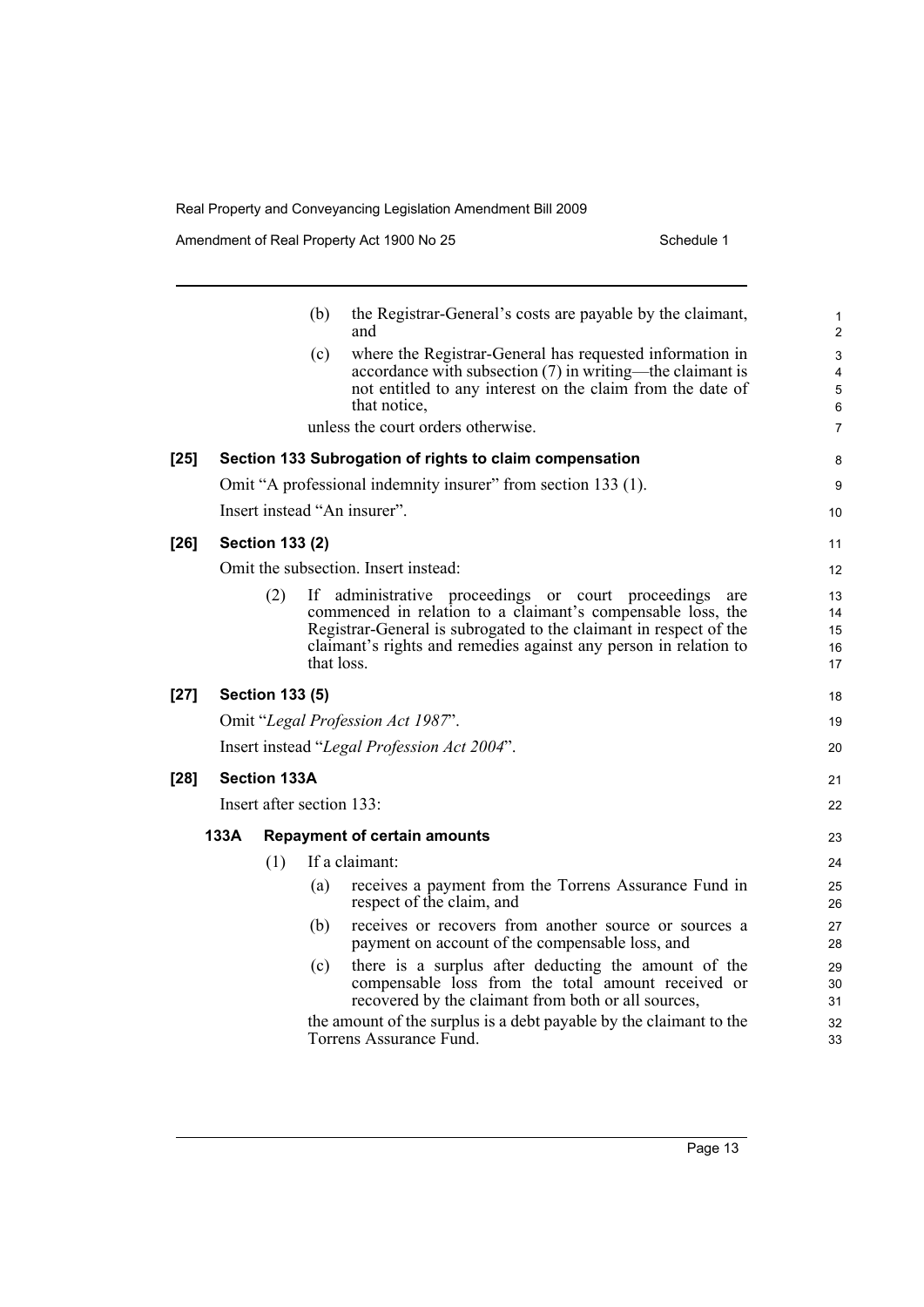Amendment of Real Property Act 1900 No 25 Schedule 1

|        |      |                           | (b)        | the Registrar-General's costs are payable by the claimant,<br>and                                                                                                                                                                                                 | $\mathbf{1}$<br>$\overline{2}$                              |
|--------|------|---------------------------|------------|-------------------------------------------------------------------------------------------------------------------------------------------------------------------------------------------------------------------------------------------------------------------|-------------------------------------------------------------|
|        |      |                           | (c)        | where the Registrar-General has requested information in<br>$accordance$ with subsection $(7)$ in writing—the claimant is<br>not entitled to any interest on the claim from the date of<br>that notice,                                                           | $\ensuremath{\mathsf{3}}$<br>4<br>$\overline{5}$<br>$\,6\,$ |
|        |      |                           |            | unless the court orders otherwise.                                                                                                                                                                                                                                | $\overline{7}$                                              |
| $[25]$ |      |                           |            | Section 133 Subrogation of rights to claim compensation                                                                                                                                                                                                           | 8                                                           |
|        |      |                           |            | Omit "A professional indemnity insurer" from section 133 (1).                                                                                                                                                                                                     | 9                                                           |
|        |      |                           |            | Insert instead "An insurer".                                                                                                                                                                                                                                      | 10                                                          |
| $[26]$ |      | <b>Section 133 (2)</b>    |            |                                                                                                                                                                                                                                                                   | 11                                                          |
|        |      |                           |            | Omit the subsection. Insert instead:                                                                                                                                                                                                                              | 12                                                          |
|        |      | (2)                       | that loss. | If administrative proceedings or court proceedings<br>are<br>commenced in relation to a claimant's compensable loss, the<br>Registrar-General is subrogated to the claimant in respect of the<br>claimant's rights and remedies against any person in relation to | 13<br>14<br>15<br>16<br>17                                  |
| $[27]$ |      | <b>Section 133 (5)</b>    |            |                                                                                                                                                                                                                                                                   | 18                                                          |
|        |      |                           |            | Omit "Legal Profession Act 1987".                                                                                                                                                                                                                                 | 19                                                          |
|        |      |                           |            | Insert instead "Legal Profession Act 2004".                                                                                                                                                                                                                       | 20                                                          |
| $[28]$ |      | <b>Section 133A</b>       |            |                                                                                                                                                                                                                                                                   | 21                                                          |
|        |      | Insert after section 133: |            |                                                                                                                                                                                                                                                                   | 22                                                          |
|        | 133A |                           |            | <b>Repayment of certain amounts</b>                                                                                                                                                                                                                               | 23                                                          |
|        |      | (1)                       |            | If a claimant:                                                                                                                                                                                                                                                    | 24                                                          |
|        |      |                           | (a)        | receives a payment from the Torrens Assurance Fund in<br>respect of the claim, and                                                                                                                                                                                | 25<br>26                                                    |
|        |      |                           | (b)        | receives or recovers from another source or sources a<br>payment on account of the compensable loss, and                                                                                                                                                          | 27<br>28                                                    |
|        |      |                           | (c)        | there is a surplus after deducting the amount of the<br>compensable loss from the total amount received or<br>recovered by the claimant from both or all sources,                                                                                                 | 29<br>30<br>31                                              |
|        |      |                           |            | the amount of the surplus is a debt payable by the claimant to the<br>Torrens Assurance Fund.                                                                                                                                                                     | 32<br>33                                                    |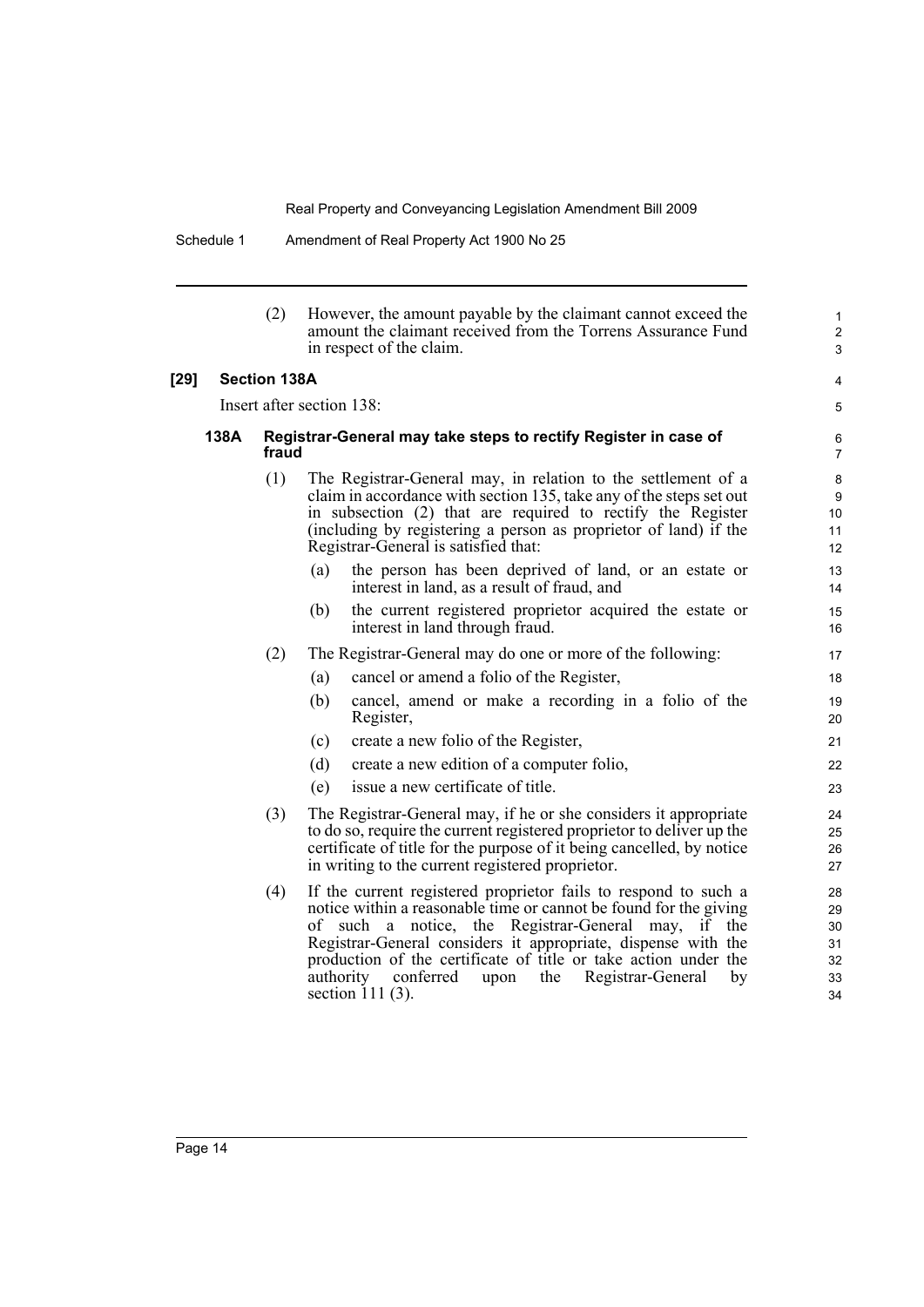Schedule 1 Amendment of Real Property Act 1900 No 25

|        |      | (2)                 | However, the amount payable by the claimant cannot exceed the<br>amount the claimant received from the Torrens Assurance Fund<br>in respect of the claim.                                                                                                                                                                                                                                                                 | $\mathbf{1}$<br>2<br>3                 |
|--------|------|---------------------|---------------------------------------------------------------------------------------------------------------------------------------------------------------------------------------------------------------------------------------------------------------------------------------------------------------------------------------------------------------------------------------------------------------------------|----------------------------------------|
| $[29]$ |      | <b>Section 138A</b> |                                                                                                                                                                                                                                                                                                                                                                                                                           | 4                                      |
|        |      |                     | Insert after section 138:                                                                                                                                                                                                                                                                                                                                                                                                 | 5                                      |
|        | 138A | fraud               | Registrar-General may take steps to rectify Register in case of                                                                                                                                                                                                                                                                                                                                                           | 6<br>$\overline{7}$                    |
|        |      | (1)                 | The Registrar-General may, in relation to the settlement of a<br>claim in accordance with section 135, take any of the steps set out<br>in subsection (2) that are required to rectify the Register<br>(including by registering a person as proprietor of land) if the<br>Registrar-General is satisfied that:                                                                                                           | 8<br>9<br>10<br>11<br>12               |
|        |      |                     | the person has been deprived of land, or an estate or<br>(a)<br>interest in land, as a result of fraud, and                                                                                                                                                                                                                                                                                                               | 13<br>14                               |
|        |      |                     | (b)<br>the current registered proprietor acquired the estate or<br>interest in land through fraud.                                                                                                                                                                                                                                                                                                                        | 15<br>16                               |
|        |      | (2)                 | The Registrar-General may do one or more of the following:                                                                                                                                                                                                                                                                                                                                                                | 17                                     |
|        |      |                     | cancel or amend a folio of the Register,<br>(a)                                                                                                                                                                                                                                                                                                                                                                           | 18                                     |
|        |      |                     | cancel, amend or make a recording in a folio of the<br>(b)<br>Register,                                                                                                                                                                                                                                                                                                                                                   | 19<br>20                               |
|        |      |                     | create a new folio of the Register,<br>(c)                                                                                                                                                                                                                                                                                                                                                                                | 21                                     |
|        |      |                     | create a new edition of a computer folio,<br>(d)                                                                                                                                                                                                                                                                                                                                                                          | 22                                     |
|        |      |                     | issue a new certificate of title.<br>(e)                                                                                                                                                                                                                                                                                                                                                                                  | 23                                     |
|        |      | (3)                 | The Registrar-General may, if he or she considers it appropriate<br>to do so, require the current registered proprietor to deliver up the<br>certificate of title for the purpose of it being cancelled, by notice<br>in writing to the current registered proprietor.                                                                                                                                                    | 24<br>25<br>26<br>27                   |
|        |      | (4)                 | If the current registered proprietor fails to respond to such a<br>notice within a reasonable time or cannot be found for the giving<br>of such a notice, the Registrar-General may, if the<br>Registrar-General considers it appropriate, dispense with the<br>production of the certificate of title or take action under the<br>conferred<br>authority<br>the<br>Registrar-General<br>upon<br>by<br>section $111(3)$ . | 28<br>29<br>30<br>31<br>32<br>33<br>34 |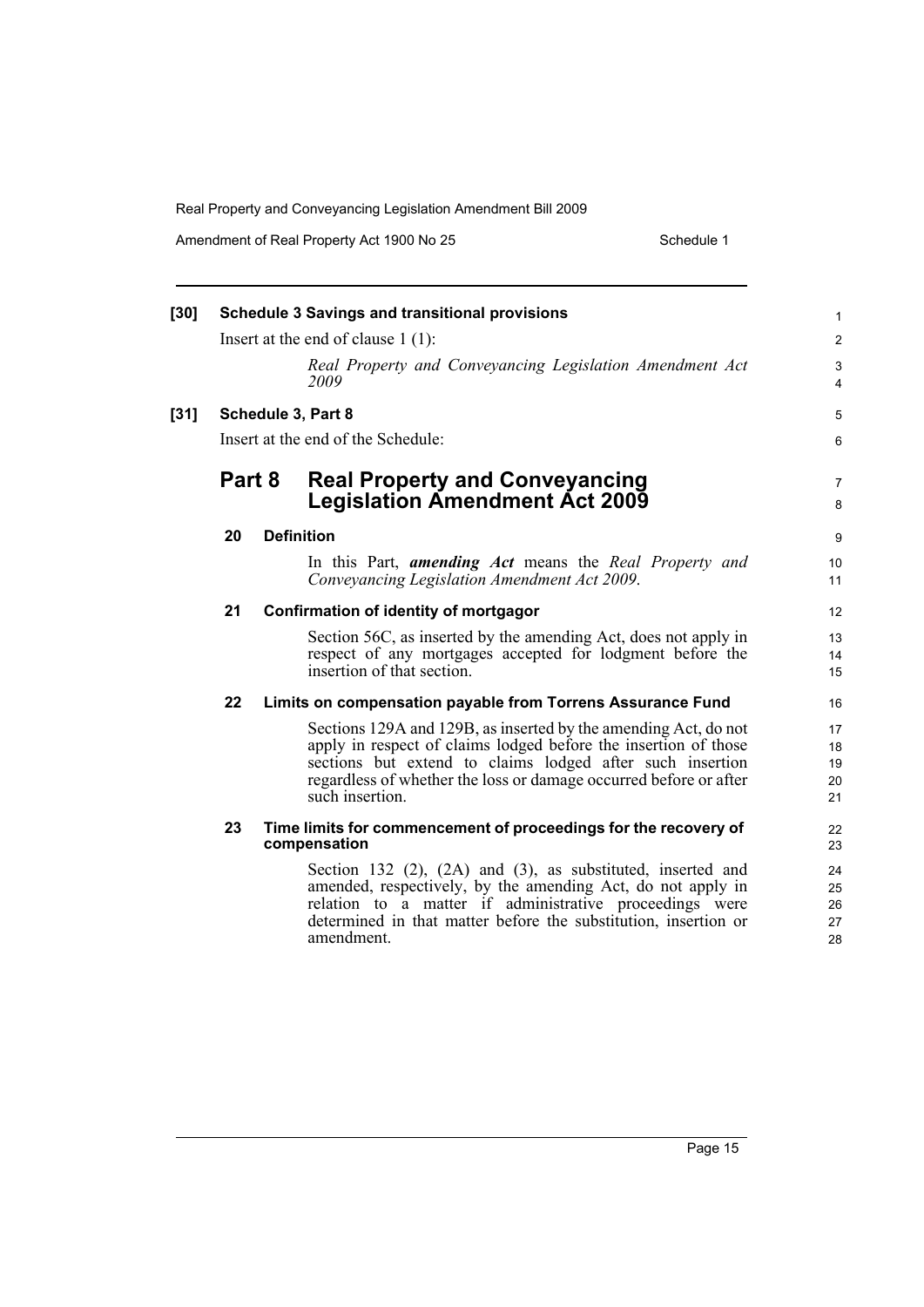Amendment of Real Property Act 1900 No 25 Schedule 1

| $[30]$ | <b>Schedule 3 Savings and transitional provisions</b> |  |                                                                                                                                                                                                                                                                                         |                            |
|--------|-------------------------------------------------------|--|-----------------------------------------------------------------------------------------------------------------------------------------------------------------------------------------------------------------------------------------------------------------------------------------|----------------------------|
|        |                                                       |  | Insert at the end of clause $1(1)$ :                                                                                                                                                                                                                                                    | $\overline{2}$             |
|        |                                                       |  | Real Property and Conveyancing Legislation Amendment Act<br>2009                                                                                                                                                                                                                        | 3<br>4                     |
| $[31]$ |                                                       |  | Schedule 3, Part 8                                                                                                                                                                                                                                                                      | 5                          |
|        |                                                       |  | Insert at the end of the Schedule:                                                                                                                                                                                                                                                      | 6                          |
|        | Part 8                                                |  | <b>Real Property and Conveyancing</b><br><b>Legislation Amendment Act 2009</b>                                                                                                                                                                                                          | $\overline{7}$<br>8        |
|        | 20                                                    |  | <b>Definition</b>                                                                                                                                                                                                                                                                       | 9                          |
|        |                                                       |  | In this Part, <i>amending Act</i> means the <i>Real Property and</i><br>Conveyancing Legislation Amendment Act 2009.                                                                                                                                                                    | 10<br>11                   |
|        | 21                                                    |  | Confirmation of identity of mortgagor                                                                                                                                                                                                                                                   | 12                         |
|        |                                                       |  | Section 56C, as inserted by the amending Act, does not apply in<br>respect of any mortgages accepted for lodgment before the<br>insertion of that section.                                                                                                                              | 13<br>14<br>15             |
|        | 22                                                    |  | Limits on compensation payable from Torrens Assurance Fund                                                                                                                                                                                                                              | 16                         |
|        |                                                       |  | Sections 129A and 129B, as inserted by the amending Act, do not<br>apply in respect of claims lodged before the insertion of those<br>sections but extend to claims lodged after such insertion<br>regardless of whether the loss or damage occurred before or after<br>such insertion. | 17<br>18<br>19<br>20<br>21 |
|        | 23                                                    |  | Time limits for commencement of proceedings for the recovery of<br>compensation                                                                                                                                                                                                         | 22<br>23                   |
|        |                                                       |  | Section 132 (2), (2A) and (3), as substituted, inserted and<br>amended, respectively, by the amending Act, do not apply in<br>relation to a matter if administrative proceedings were<br>determined in that matter before the substitution, insertion or<br>amendment.                  | 24<br>25<br>26<br>27<br>28 |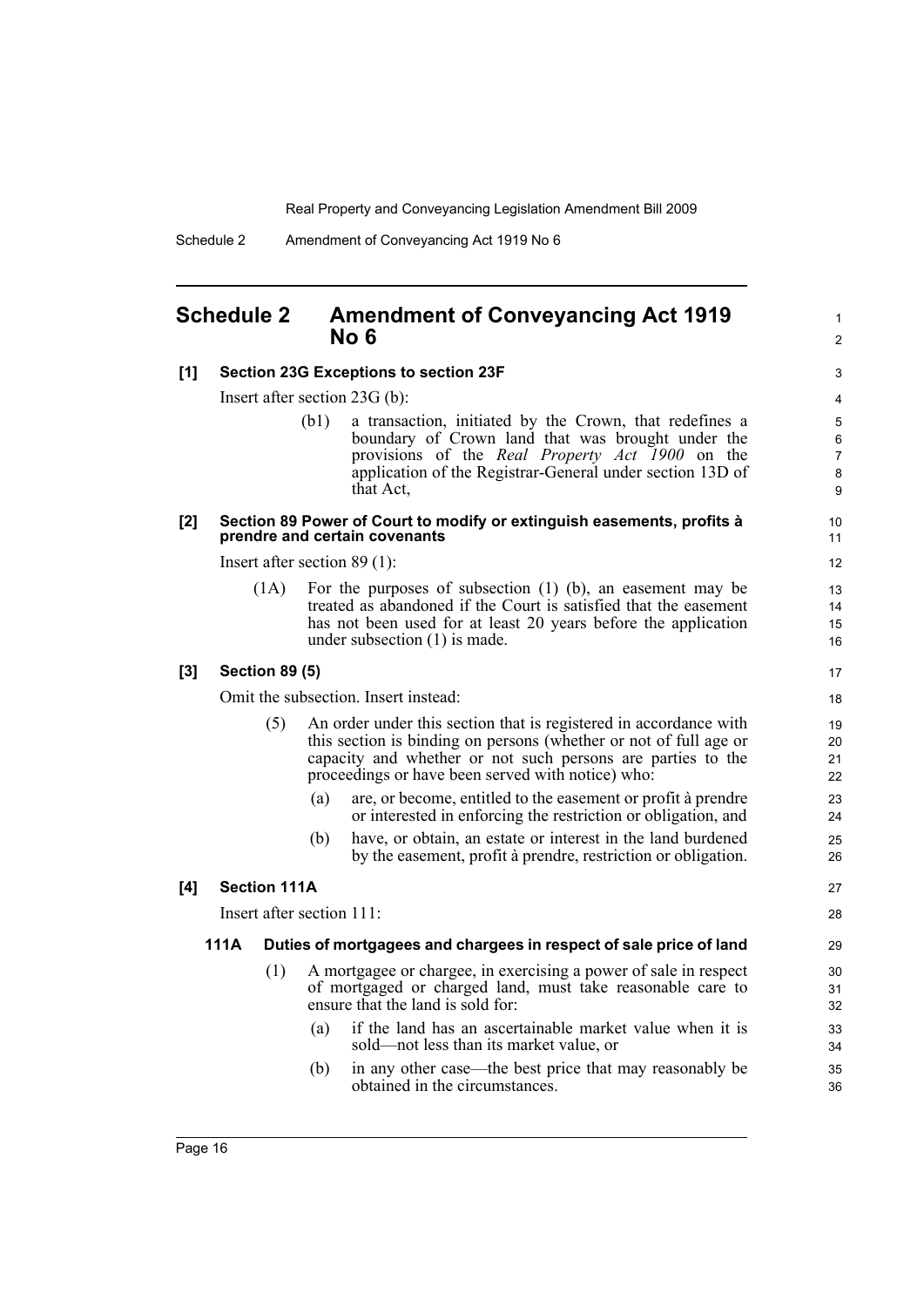1  $\mathfrak{p}$ 

## <span id="page-23-0"></span>**Schedule 2 Amendment of Conveyancing Act 1919 No 6**

#### **[1] Section 23G Exceptions to section 23F** Insert after section 23G (b): (b1) a transaction, initiated by the Crown, that redefines a boundary of Crown land that was brought under the provisions of the *Real Property Act 1900* on the application of the Registrar-General under section 13D of that Act, **[2] Section 89 Power of Court to modify or extinguish easements, profits à prendre and certain covenants** Insert after section 89 (1): (1A) For the purposes of subsection (1) (b), an easement may be treated as abandoned if the Court is satisfied that the easement has not been used for at least 20 years before the application under subsection (1) is made. **[3] Section 89 (5)** Omit the subsection. Insert instead: (5) An order under this section that is registered in accordance with this section is binding on persons (whether or not of full age or capacity and whether or not such persons are parties to the proceedings or have been served with notice) who: (a) are, or become, entitled to the easement or profit à prendre or interested in enforcing the restriction or obligation, and (b) have, or obtain, an estate or interest in the land burdened by the easement, profit à prendre, restriction or obligation. **[4] Section 111A** Insert after section 111: **111A Duties of mortgagees and chargees in respect of sale price of land** (1) A mortgagee or chargee, in exercising a power of sale in respect of mortgaged or charged land, must take reasonable care to ensure that the land is sold for: (a) if the land has an ascertainable market value when it is sold—not less than its market value, or (b) in any other case—the best price that may reasonably be obtained in the circumstances.  $\overline{a}$ 4 5 6 7 8  $\Omega$ 10 11 12 13 14 15 16 17 18 19 20 21 22  $23$  $24$ 25 26 27 28 29 30 31 32 33 34 35 36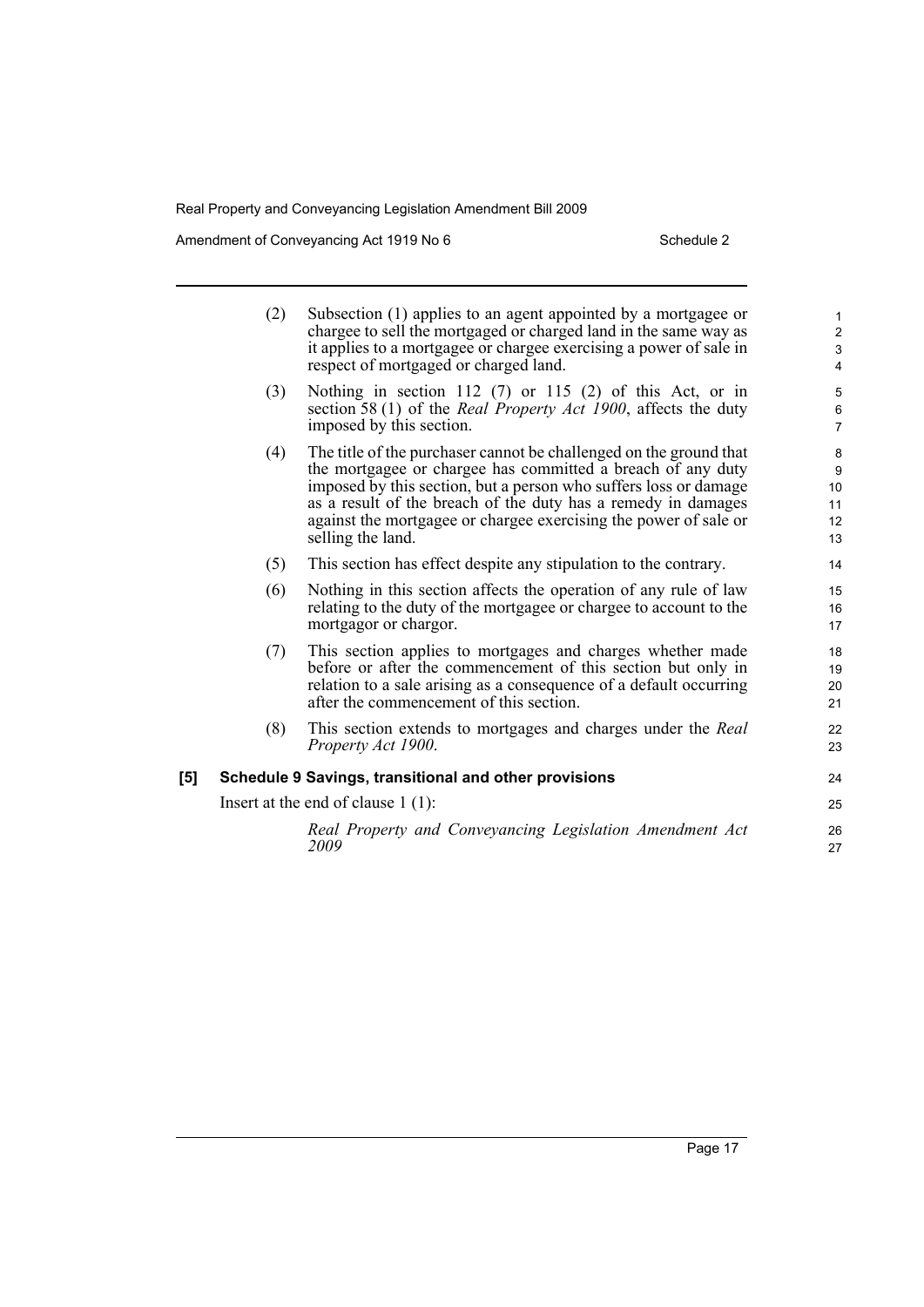Amendment of Conveyancing Act 1919 No 6 Schedule 2

|     | (2) | Subsection (1) applies to an agent appointed by a mortgagee or<br>chargee to sell the mortgaged or charged land in the same way as<br>it applies to a mortgagee or chargee exercising a power of sale in<br>respect of mortgaged or charged land.                                                                                                               | $\mathbf{1}$<br>$\overline{2}$<br>$\mathbf{3}$<br>4 |
|-----|-----|-----------------------------------------------------------------------------------------------------------------------------------------------------------------------------------------------------------------------------------------------------------------------------------------------------------------------------------------------------------------|-----------------------------------------------------|
|     | (3) | Nothing in section 112 $(7)$ or 115 $(2)$ of this Act, or in<br>section 58 (1) of the <i>Real Property Act 1900</i> , affects the duty<br>imposed by this section.                                                                                                                                                                                              | 5<br>$\,6\,$<br>$\overline{7}$                      |
|     | (4) | The title of the purchaser cannot be challenged on the ground that<br>the mortgagee or chargee has committed a breach of any duty<br>imposed by this section, but a person who suffers loss or damage<br>as a result of the breach of the duty has a remedy in damages<br>against the mortgagee or chargee exercising the power of sale or<br>selling the land. | 8<br>9<br>10<br>11<br>12<br>13                      |
|     | (5) | This section has effect despite any stipulation to the contrary.                                                                                                                                                                                                                                                                                                | 14                                                  |
|     | (6) | Nothing in this section affects the operation of any rule of law<br>relating to the duty of the mortgagee or chargee to account to the<br>mortgagor or chargor.                                                                                                                                                                                                 | 15<br>16<br>17                                      |
|     | (7) | This section applies to mortgages and charges whether made<br>before or after the commencement of this section but only in<br>relation to a sale arising as a consequence of a default occurring<br>after the commencement of this section.                                                                                                                     | 18<br>19<br>20<br>21                                |
|     | (8) | This section extends to mortgages and charges under the Real<br>Property Act 1900.                                                                                                                                                                                                                                                                              | 22<br>23                                            |
| [5] |     | Schedule 9 Savings, transitional and other provisions                                                                                                                                                                                                                                                                                                           | 24                                                  |
|     |     | Insert at the end of clause $1(1)$ :                                                                                                                                                                                                                                                                                                                            | 25                                                  |
|     |     | Real Property and Conveyancing Legislation Amendment Act<br>2009                                                                                                                                                                                                                                                                                                | 26<br>27                                            |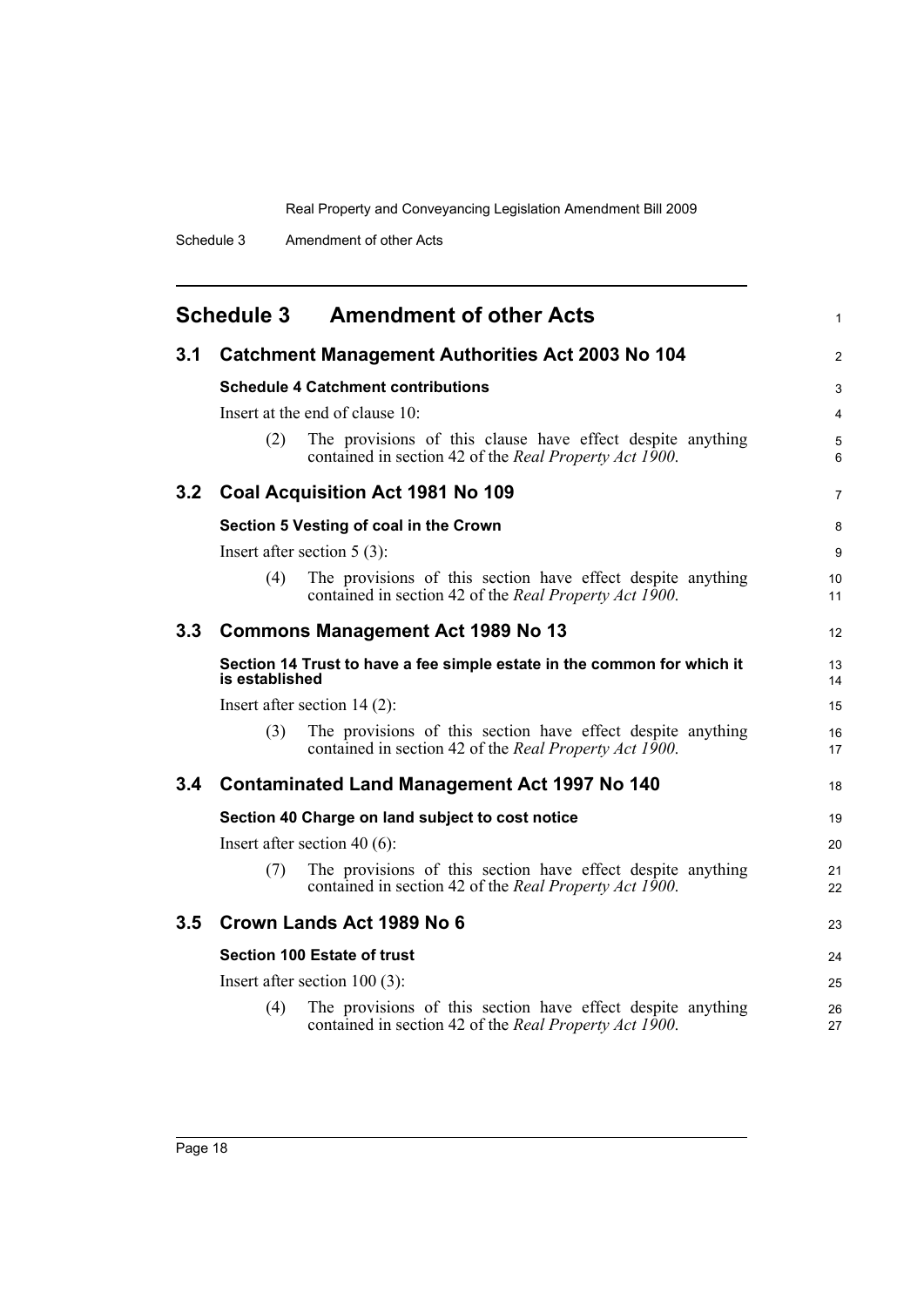<span id="page-25-0"></span>

|                  |                | <b>Schedule 3 Amendment of other Acts</b>                                                                                     | 1              |
|------------------|----------------|-------------------------------------------------------------------------------------------------------------------------------|----------------|
| 3.1              |                | <b>Catchment Management Authorities Act 2003 No 104</b>                                                                       | $\overline{2}$ |
|                  |                | <b>Schedule 4 Catchment contributions</b>                                                                                     | 3              |
|                  |                | Insert at the end of clause 10:                                                                                               | 4              |
|                  | (2)            | The provisions of this clause have effect despite anything<br>contained in section 42 of the Real Property Act 1900.          | 5<br>6         |
| 3.2 <sub>2</sub> |                | Coal Acquisition Act 1981 No 109                                                                                              | 7              |
|                  |                | Section 5 Vesting of coal in the Crown                                                                                        | 8              |
|                  |                | Insert after section $5(3)$ :                                                                                                 | 9              |
|                  | (4)            | The provisions of this section have effect despite anything<br>contained in section 42 of the Real Property Act 1900.         | 10<br>11       |
| 3.3              |                | <b>Commons Management Act 1989 No 13</b>                                                                                      | 12             |
|                  | is established | Section 14 Trust to have a fee simple estate in the common for which it                                                       | 13<br>14       |
|                  |                | Insert after section $14(2)$ :                                                                                                | 15             |
|                  | (3)            | The provisions of this section have effect despite anything<br>contained in section 42 of the Real Property Act 1900.         | 16<br>17       |
| 3.4              |                | Contaminated Land Management Act 1997 No 140                                                                                  | 18             |
|                  |                | Section 40 Charge on land subject to cost notice                                                                              | 19             |
|                  |                | Insert after section 40 $(6)$ :                                                                                               | 20             |
|                  | (7)            | The provisions of this section have effect despite anything<br>contained in section 42 of the <i>Real Property Act 1900</i> . | 21<br>22       |
| 3.5              |                | Crown Lands Act 1989 No 6                                                                                                     | 23             |
|                  |                | <b>Section 100 Estate of trust</b>                                                                                            | 24             |
|                  |                | Insert after section $100(3)$ :                                                                                               | 25             |
|                  | (4)            | The provisions of this section have effect despite anything<br>contained in section 42 of the Real Property Act 1900.         | 26<br>27       |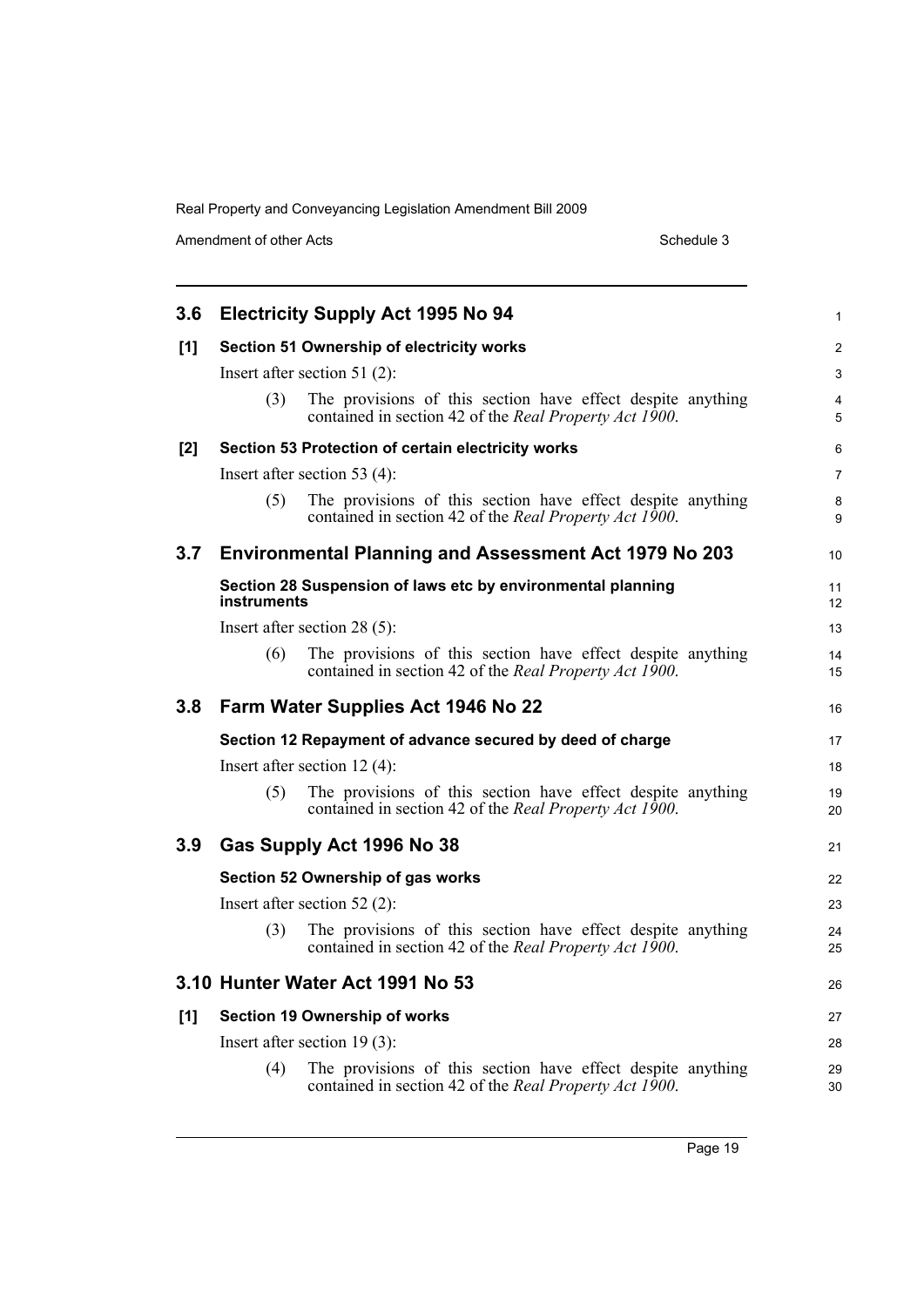Amendment of other Acts Schedule 3

| 3.6 | <b>Electricity Supply Act 1995 No 94</b>                                                                                             | 1                   |
|-----|--------------------------------------------------------------------------------------------------------------------------------------|---------------------|
| [1] | Section 51 Ownership of electricity works<br>Insert after section 51 $(2)$ :                                                         | $\overline{c}$<br>3 |
|     | The provisions of this section have effect despite anything<br>(3)<br>contained in section 42 of the Real Property Act 1900.         | 4<br>5              |
| [2] | Section 53 Protection of certain electricity works                                                                                   | 6                   |
|     | Insert after section 53 $(4)$ :                                                                                                      | $\overline{7}$      |
|     | The provisions of this section have effect despite anything<br>(5)<br>contained in section 42 of the Real Property Act 1900.         | 8<br>9              |
| 3.7 | Environmental Planning and Assessment Act 1979 No 203                                                                                | 10                  |
|     | Section 28 Suspension of laws etc by environmental planning<br>instruments                                                           | 11<br>12            |
|     | Insert after section $28(5)$ :                                                                                                       | 13                  |
|     | The provisions of this section have effect despite anything<br>(6)<br>contained in section 42 of the <i>Real Property Act 1900</i> . | 14<br>15            |
| 3.8 | Farm Water Supplies Act 1946 No 22                                                                                                   | 16                  |
|     | Section 12 Repayment of advance secured by deed of charge                                                                            | 17                  |
|     | Insert after section $12(4)$ :                                                                                                       | 18                  |
|     | The provisions of this section have effect despite anything<br>(5)<br>contained in section 42 of the Real Property Act 1900.         | 19<br>20            |
| 3.9 | Gas Supply Act 1996 No 38                                                                                                            | 21                  |
|     | Section 52 Ownership of gas works                                                                                                    | 22                  |
|     | Insert after section 52 $(2)$ :                                                                                                      | 23                  |
|     | The provisions of this section have effect despite anything<br>(3)<br>contained in section 42 of the <i>Real Property Act 1900</i> . | 24<br>25            |
|     | 3.10 Hunter Water Act 1991 No 53                                                                                                     | 26                  |
| [1] | <b>Section 19 Ownership of works</b>                                                                                                 | 27                  |
|     | Insert after section $19(3)$ :                                                                                                       | 28                  |
|     | The provisions of this section have effect despite anything<br>(4)<br>contained in section 42 of the Real Property Act 1900.         | 29<br>30            |
|     |                                                                                                                                      |                     |

Page 19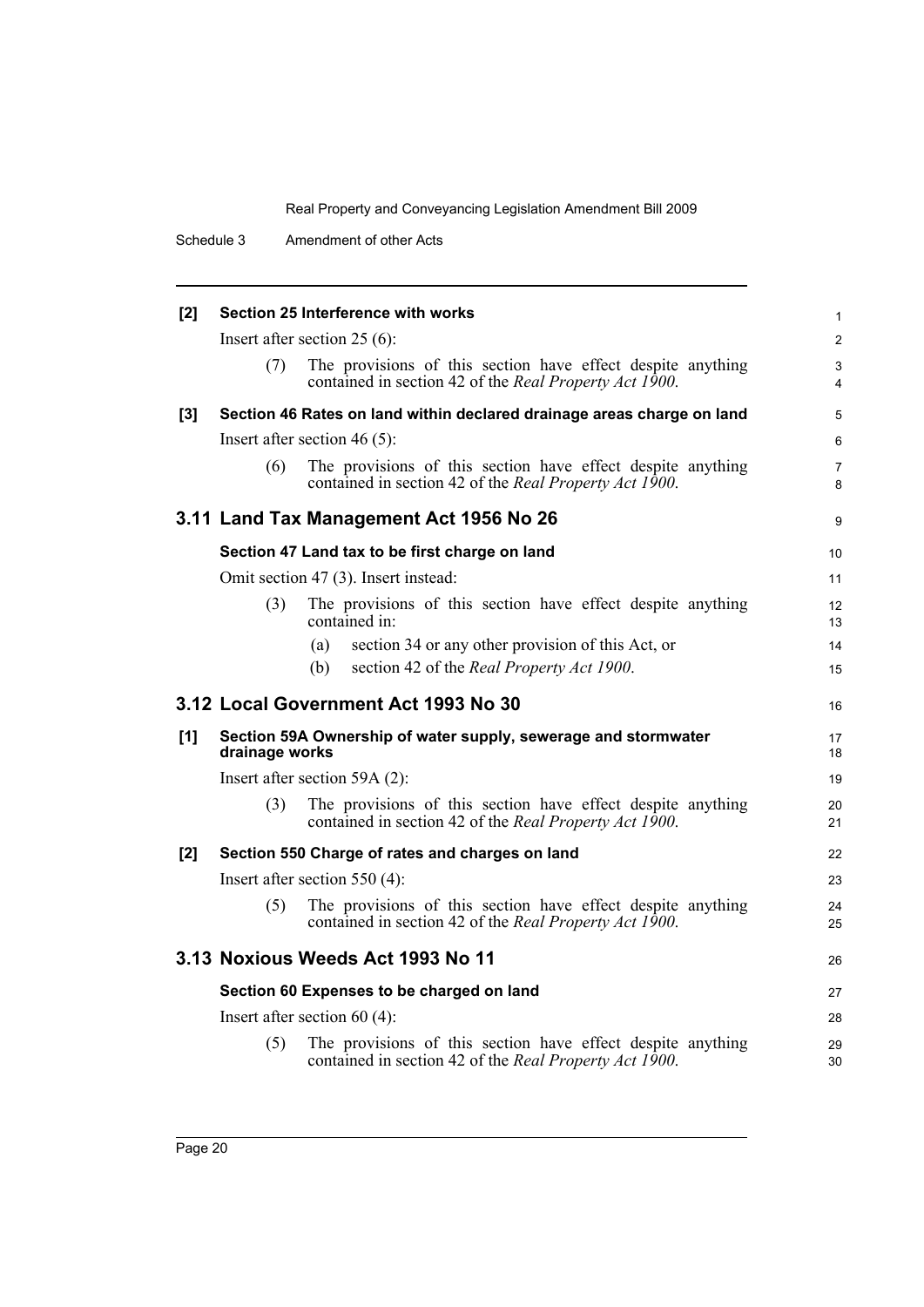| [2]   |                | <b>Section 25 Interference with works</b>                                                                                     | $\mathbf{1}$        |
|-------|----------------|-------------------------------------------------------------------------------------------------------------------------------|---------------------|
|       |                | Insert after section $25(6)$ :                                                                                                | 2                   |
|       | (7)            | The provisions of this section have effect despite anything<br>contained in section 42 of the <i>Real Property Act 1900</i> . | 3<br>4              |
| $[3]$ |                | Section 46 Rates on land within declared drainage areas charge on land                                                        | 5                   |
|       |                | Insert after section 46 $(5)$ :                                                                                               | 6                   |
|       | (6)            | The provisions of this section have effect despite anything<br>contained in section 42 of the Real Property Act 1900.         | $\overline{7}$<br>8 |
|       |                | 3.11 Land Tax Management Act 1956 No 26                                                                                       | 9                   |
|       |                | Section 47 Land tax to be first charge on land                                                                                | 10                  |
|       |                | Omit section 47 (3). Insert instead:                                                                                          | 11                  |
|       | (3)            | The provisions of this section have effect despite anything<br>contained in:                                                  | 12<br>13            |
|       |                | section 34 or any other provision of this Act, or<br>(a)                                                                      | 14                  |
|       |                | section 42 of the <i>Real Property Act 1900</i> .<br>(b)                                                                      | 15                  |
|       |                |                                                                                                                               |                     |
|       |                | 3.12 Local Government Act 1993 No 30                                                                                          | 16                  |
| [1]   | drainage works | Section 59A Ownership of water supply, sewerage and stormwater                                                                | 17<br>18            |
|       |                | Insert after section 59A (2):                                                                                                 | 19                  |
|       | (3)            | The provisions of this section have effect despite anything<br>contained in section 42 of the <i>Real Property Act 1900</i> . | 20<br>21            |
| $[2]$ |                | Section 550 Charge of rates and charges on land                                                                               | 22                  |
|       |                | Insert after section 550 $(4)$ :                                                                                              | 23                  |
|       | (5)            | The provisions of this section have effect despite anything<br>contained in section 42 of the Real Property Act 1900.         | 24<br>25            |
|       |                | 3.13 Noxious Weeds Act 1993 No 11                                                                                             | 26                  |
|       |                | Section 60 Expenses to be charged on land                                                                                     | 27                  |
|       |                | Insert after section $60(4)$ :                                                                                                | 28                  |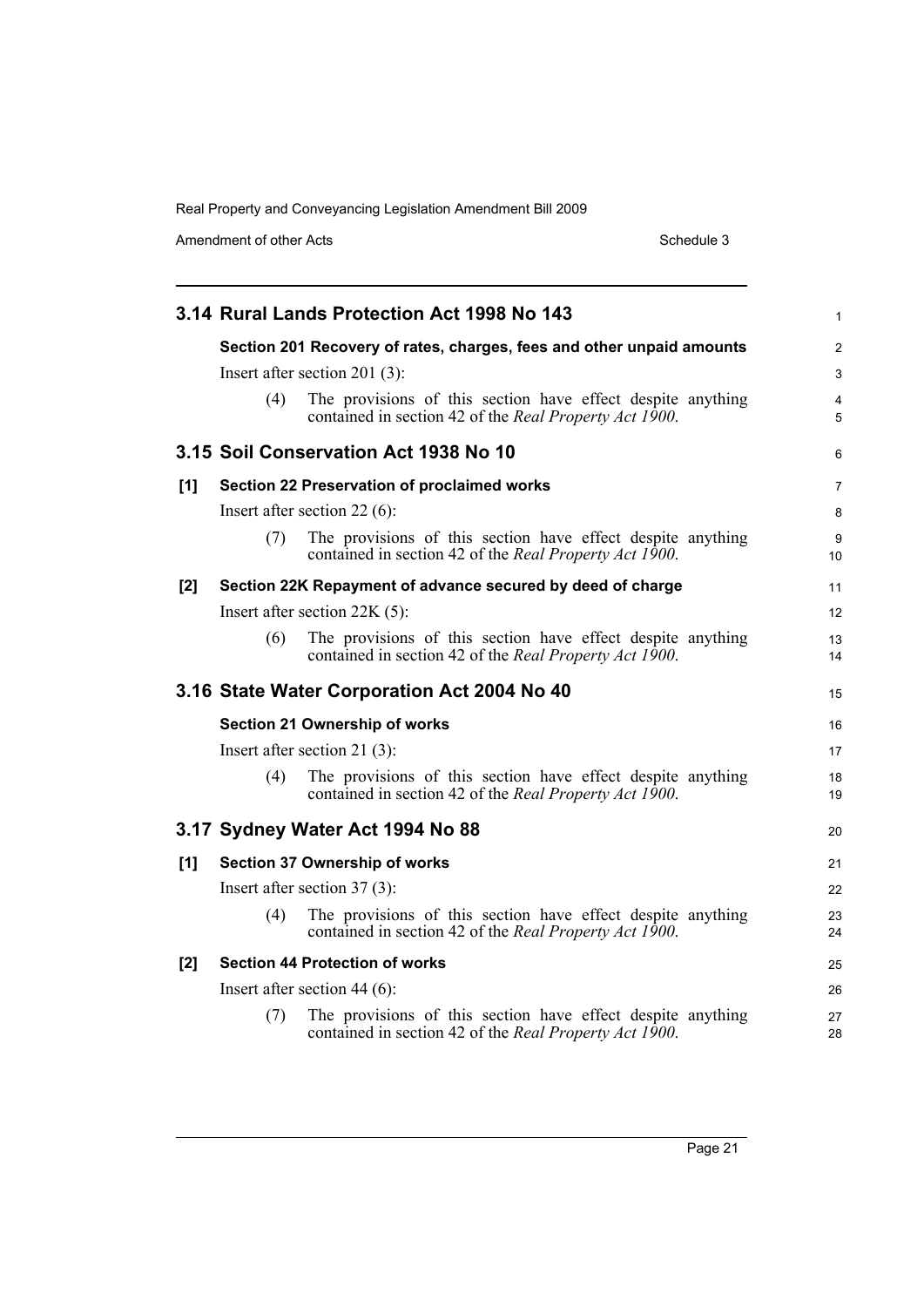Amendment of other Acts Schedule 3

|     |     | 3.14 Rural Lands Protection Act 1998 No 143                                                                                   | 1                   |
|-----|-----|-------------------------------------------------------------------------------------------------------------------------------|---------------------|
|     |     | Section 201 Recovery of rates, charges, fees and other unpaid amounts                                                         | $\overline{c}$      |
|     |     | Insert after section 201 $(3)$ :                                                                                              | 3                   |
|     | (4) | The provisions of this section have effect despite anything<br>contained in section 42 of the <i>Real Property Act 1900</i> . | $\overline{4}$<br>5 |
|     |     | 3.15 Soil Conservation Act 1938 No 10                                                                                         | 6                   |
| [1] |     | <b>Section 22 Preservation of proclaimed works</b>                                                                            | 7                   |
|     |     | Insert after section $22(6)$ :                                                                                                | 8                   |
|     | (7) | The provisions of this section have effect despite anything<br>contained in section 42 of the <i>Real Property Act 1900</i> . | 9<br>10             |
| [2] |     | Section 22K Repayment of advance secured by deed of charge                                                                    | 11                  |
|     |     | Insert after section $22K(5)$ :                                                                                               | 12                  |
|     | (6) | The provisions of this section have effect despite anything<br>contained in section 42 of the Real Property Act 1900.         | 13<br>14            |
|     |     | 3.16 State Water Corporation Act 2004 No 40                                                                                   | 15                  |
|     |     | <b>Section 21 Ownership of works</b>                                                                                          | 16                  |
|     |     | Insert after section 21 $(3)$ :                                                                                               | 17                  |
|     | (4) | The provisions of this section have effect despite anything<br>contained in section 42 of the <i>Real Property Act 1900</i> . | 18<br>19            |
|     |     | 3.17 Sydney Water Act 1994 No 88                                                                                              | 20                  |
| [1] |     | <b>Section 37 Ownership of works</b>                                                                                          | 21                  |
|     |     | Insert after section $37(3)$ :                                                                                                | 22                  |
|     | (4) | The provisions of this section have effect despite anything<br>contained in section 42 of the Real Property Act 1900.         | 23<br>24            |
| [2] |     | <b>Section 44 Protection of works</b>                                                                                         | 25                  |
|     |     | Insert after section 44 $(6)$ :                                                                                               | 26                  |
|     | (7) | The provisions of this section have effect despite anything<br>contained in section 42 of the <i>Real Property Act 1900</i> . | 27<br>28            |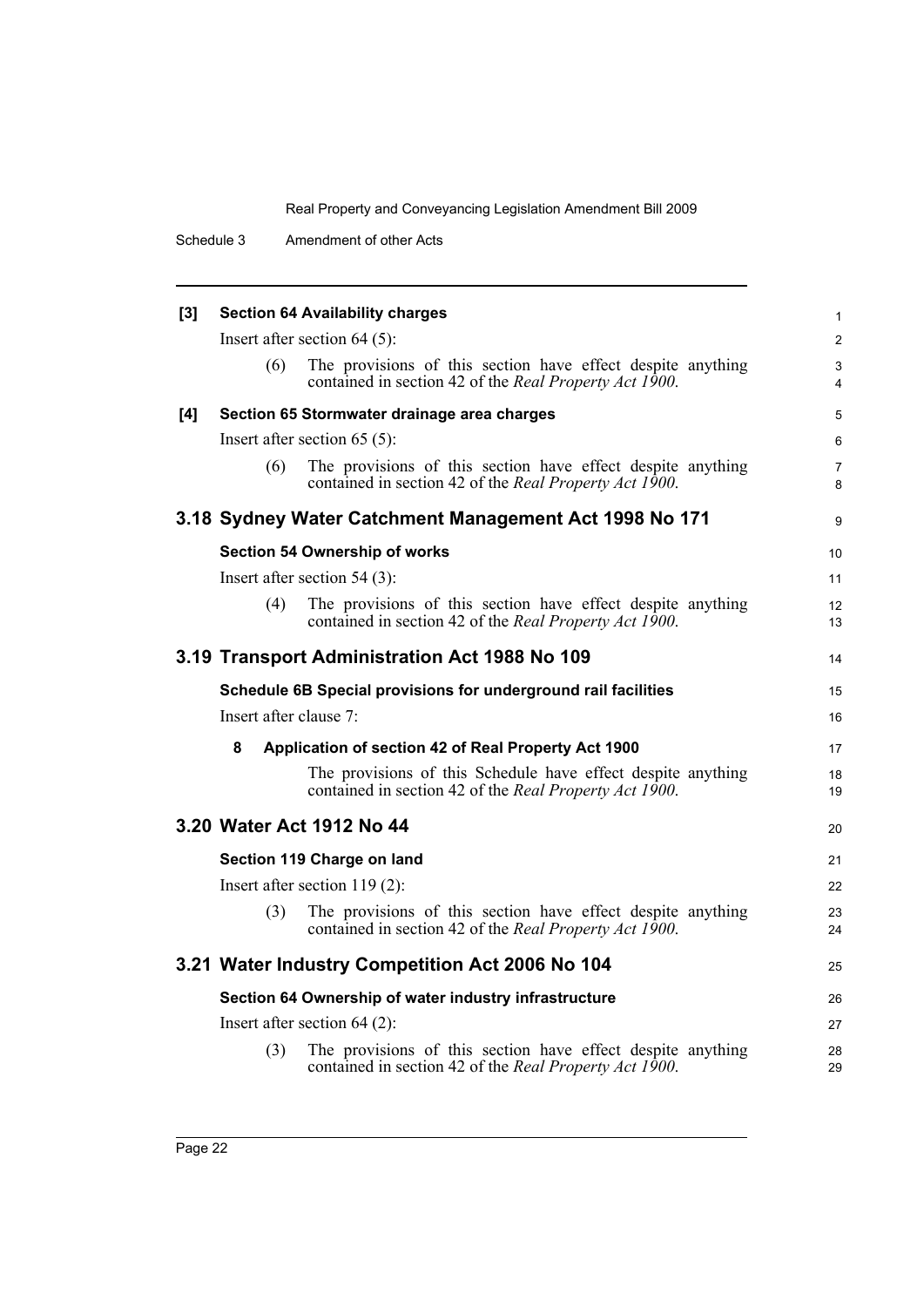| $[3]$ |                           | <b>Section 64 Availability charges</b>                                                                                        | $\mathbf{1}$            |
|-------|---------------------------|-------------------------------------------------------------------------------------------------------------------------------|-------------------------|
|       |                           | Insert after section $64(5)$ :                                                                                                | 2                       |
|       | (6)                       | The provisions of this section have effect despite anything<br>contained in section 42 of the <i>Real Property Act 1900</i> . | 3<br>4                  |
| [4]   |                           | Section 65 Stormwater drainage area charges                                                                                   | 5                       |
|       |                           | Insert after section $65(5)$ :                                                                                                | 6                       |
|       | (6)                       | The provisions of this section have effect despite anything<br>contained in section 42 of the <i>Real Property Act 1900</i> . | $\overline{7}$<br>8     |
|       |                           | 3.18 Sydney Water Catchment Management Act 1998 No 171                                                                        | 9                       |
|       |                           | <b>Section 54 Ownership of works</b>                                                                                          | 10                      |
|       |                           | Insert after section $54(3)$ :                                                                                                | 11                      |
|       | (4)                       | The provisions of this section have effect despite anything<br>contained in section 42 of the <i>Real Property Act 1900</i> . | $12 \overline{ }$<br>13 |
|       |                           | 3.19 Transport Administration Act 1988 No 109                                                                                 | 14                      |
|       |                           | Schedule 6B Special provisions for underground rail facilities                                                                | 15                      |
|       | Insert after clause $7$ : |                                                                                                                               | 16                      |
|       | 8                         | Application of section 42 of Real Property Act 1900                                                                           | 17                      |
|       |                           | The provisions of this Schedule have effect despite anything<br>contained in section 42 of the Real Property Act 1900.        | 18<br>19                |
|       |                           | 3.20 Water Act 1912 No 44                                                                                                     | 20                      |
|       |                           | Section 119 Charge on land                                                                                                    | 21                      |
|       |                           | Insert after section $119(2)$ :                                                                                               | 22                      |
|       | (3)                       | The provisions of this section have effect despite anything<br>contained in section 42 of the Real Property Act 1900.         | 23<br>24                |
|       |                           | 3.21 Water Industry Competition Act 2006 No 104                                                                               | 25                      |
|       |                           | Section 64 Ownership of water industry infrastructure                                                                         | 26                      |
|       |                           | Insert after section $64$ (2):                                                                                                | 27                      |
|       | (3)                       | The provisions of this section have effect despite anything<br>contained in section 42 of the Real Property Act 1900.         | 28<br>29                |